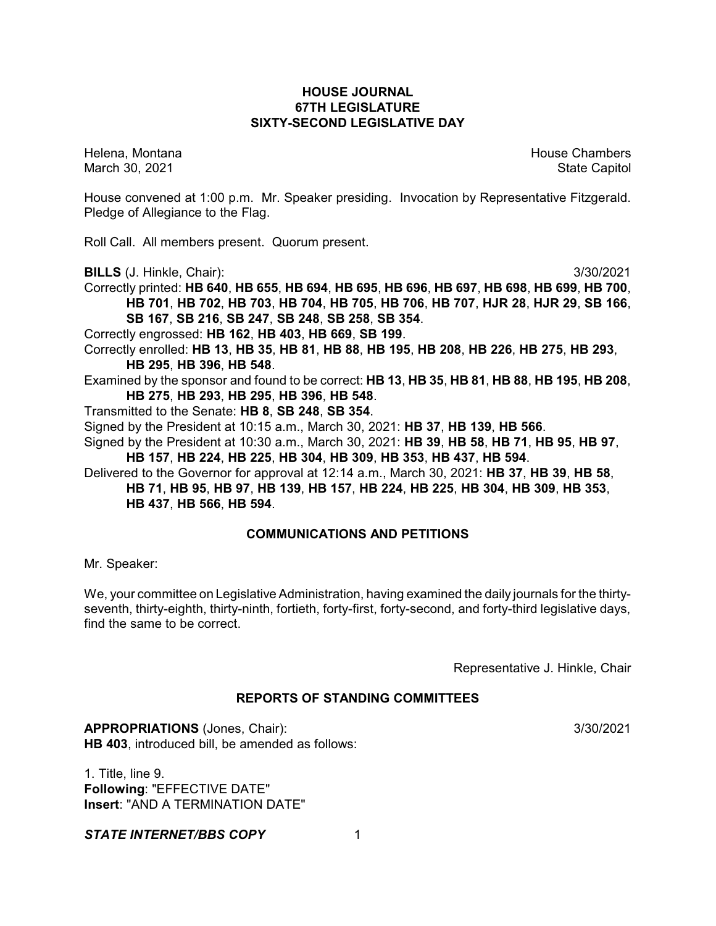# **HOUSE JOURNAL 67TH LEGISLATURE SIXTY-SECOND LEGISLATIVE DAY**

Helena, Montana House Chambers Chambers Chambers and House Chambers Chambers Chambers Chambers Chambers Chambers March 30, 2021 State Capitol

House convened at 1:00 p.m. Mr. Speaker presiding. Invocation by Representative Fitzgerald. Pledge of Allegiance to the Flag.

Roll Call. All members present. Quorum present.

**BILLS** (J. Hinkle, Chair): 3/30/2021

Correctly printed: **HB 640**, **HB 655**, **HB 694**, **HB 695**, **HB 696**, **HB 697**, **HB 698**, **HB 699**, **HB 700**, **HB 701**, **HB 702**, **HB 703**, **HB 704**, **HB 705**, **HB 706**, **HB 707**, **HJR 28**, **HJR 29**, **SB 166**, **SB 167**, **SB 216**, **SB 247**, **SB 248**, **SB 258**, **SB 354**.

Correctly engrossed: **HB 162**, **HB 403**, **HB 669**, **SB 199**.

Correctly enrolled: **HB 13**, **HB 35**, **HB 81**, **HB 88**, **HB 195**, **HB 208**, **HB 226**, **HB 275**, **HB 293**, **HB 295**, **HB 396**, **HB 548**.

Examined by the sponsor and found to be correct: **HB 13**, **HB 35**, **HB 81**, **HB 88**, **HB 195**, **HB 208**, **HB 275**, **HB 293**, **HB 295**, **HB 396**, **HB 548**.

Transmitted to the Senate: **HB 8**, **SB 248**, **SB 354**.

Signed by the President at 10:15 a.m., March 30, 2021: **HB 37**, **HB 139**, **HB 566**.

Signed by the President at 10:30 a.m., March 30, 2021: **HB 39**, **HB 58**, **HB 71**, **HB 95**, **HB 97**, **HB 157**, **HB 224**, **HB 225**, **HB 304**, **HB 309**, **HB 353**, **HB 437**, **HB 594**.

Delivered to the Governor for approval at 12:14 a.m., March 30, 2021: **HB 37**, **HB 39**, **HB 58**, **HB 71**, **HB 95**, **HB 97**, **HB 139**, **HB 157**, **HB 224**, **HB 225**, **HB 304**, **HB 309**, **HB 353**,

**HB 437**, **HB 566**, **HB 594**.

# **COMMUNICATIONS AND PETITIONS**

Mr. Speaker:

We, your committee on Legislative Administration, having examined the daily journals for the thirtyseventh, thirty-eighth, thirty-ninth, fortieth, forty-first, forty-second, and forty-third legislative days, find the same to be correct.

Representative J. Hinkle, Chair

# **REPORTS OF STANDING COMMITTEES**

**APPROPRIATIONS** (Jones, Chair): 3/30/2021 **HB 403**, introduced bill, be amended as follows:

1. Title, line 9. **Following**: "EFFECTIVE DATE" **Insert**: "AND A TERMINATION DATE"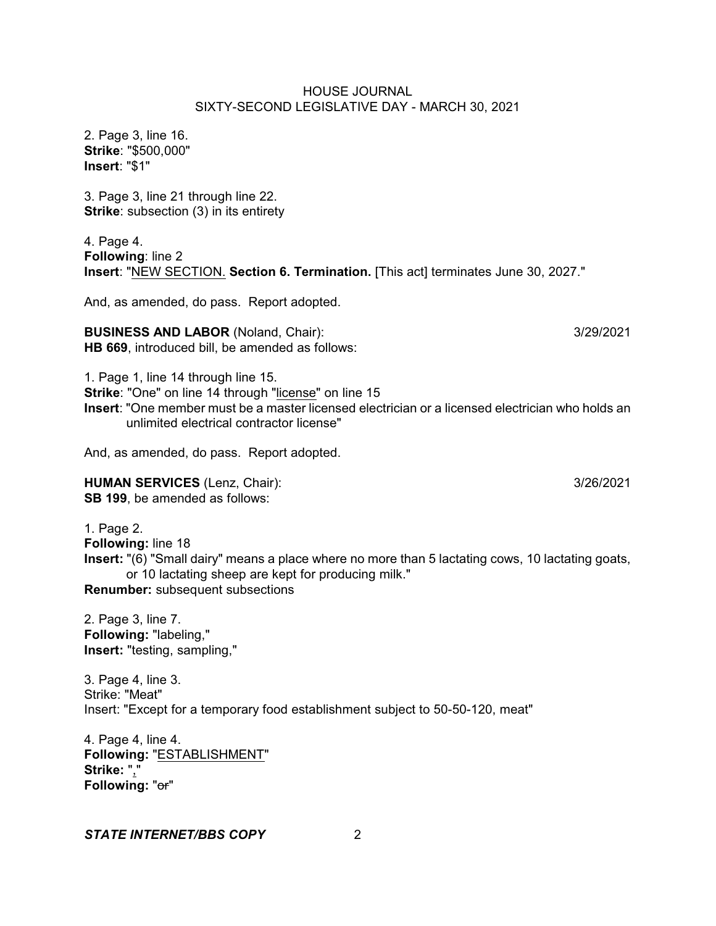2. Page 3, line 16. **Strike**: "\$500,000" **Insert**: "\$1"

3. Page 3, line 21 through line 22. **Strike**: subsection (3) in its entirety

4. Page 4. **Following**: line 2 **Insert**: "NEW SECTION. **Section 6. Termination.** [This act] terminates June 30, 2027."

And, as amended, do pass. Report adopted.

**BUSINESS AND LABOR** (Noland, Chair): 3/29/2021 **HB 669**, introduced bill, be amended as follows:

1. Page 1, line 14 through line 15.

**Strike: "One" on line 14 through "license" on line 15** 

**Insert**: "One member must be a master licensed electrician or a licensed electrician who holds an unlimited electrical contractor license"

And, as amended, do pass. Report adopted.

**HUMAN SERVICES** (Lenz, Chair): 3/26/2021 **SB 199**, be amended as follows:

1. Page 2. **Following:** line 18 **Insert:** "(6) "Small dairy" means a place where no more than 5 lactating cows, 10 lactating goats, or 10 lactating sheep are kept for producing milk." **Renumber:** subsequent subsections

2. Page 3, line 7. **Following:** "labeling," **Insert:** "testing, sampling,"

3. Page 4, line 3. Strike: "Meat" Insert: "Except for a temporary food establishment subject to 50-50-120, meat"

4. Page 4, line 4. **Following:** "ESTABLISHMENT" **Strike:** "," **Following:** "or"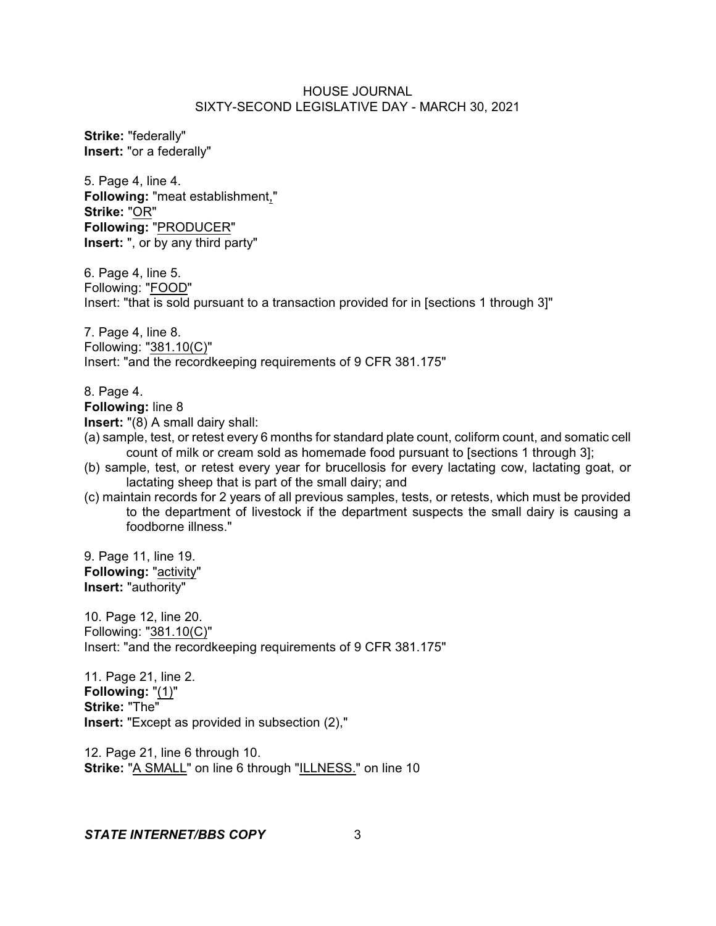**Strike:** "federally" **Insert:** "or a federally"

5. Page 4, line 4. **Following:** "meat establishment," **Strike:** "OR" **Following:** "PRODUCER" **Insert:** ", or by any third party"

6. Page 4, line 5. Following: "FOOD" Insert: "that is sold pursuant to a transaction provided for in [sections 1 through 3]"

7. Page 4, line 8. Following: "381.10(C)" Insert: "and the recordkeeping requirements of 9 CFR 381.175"

8. Page 4.

**Following:** line 8

**Insert:** "(8) A small dairy shall:

- (a) sample, test, or retest every 6 months for standard plate count, coliform count, and somatic cell count of milk or cream sold as homemade food pursuant to [sections 1 through 3];
- (b) sample, test, or retest every year for brucellosis for every lactating cow, lactating goat, or lactating sheep that is part of the small dairy; and
- (c) maintain records for 2 years of all previous samples, tests, or retests, which must be provided to the department of livestock if the department suspects the small dairy is causing a foodborne illness."

9. Page 11, line 19. **Following:** "activity" **Insert:** "authority"

10. Page 12, line 20. Following: "381.10(C)" Insert: "and the recordkeeping requirements of 9 CFR 381.175"

11. Page 21, line 2. **Following:** "(1)" **Strike:** "The" **Insert:** "Except as provided in subsection (2),"

12. Page 21, line 6 through 10. **Strike:** "A SMALL" on line 6 through "ILLNESS." on line 10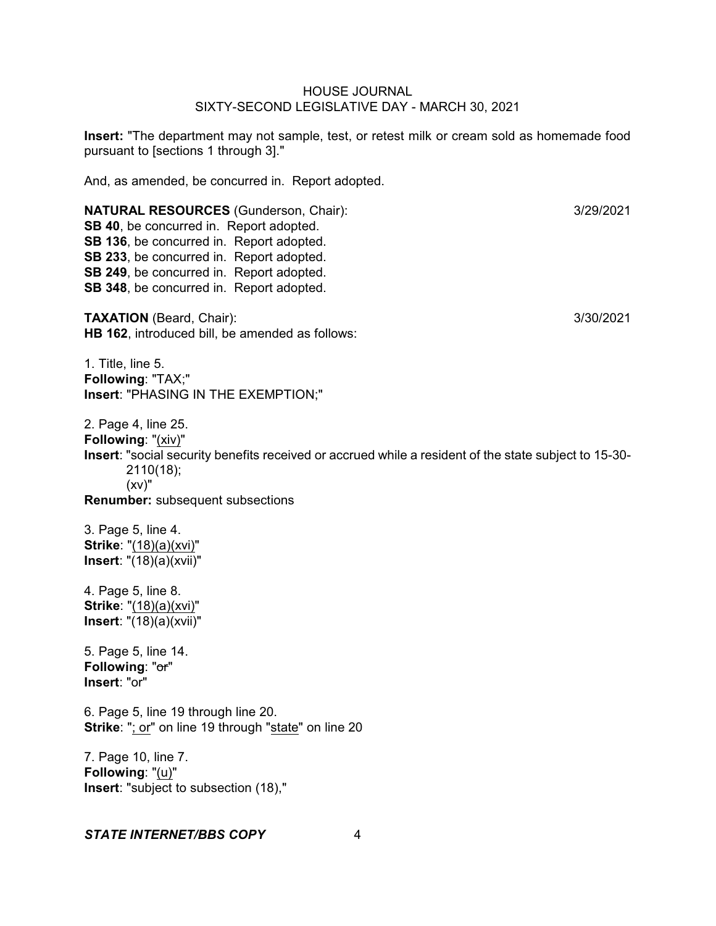**Insert:** "The department may not sample, test, or retest milk or cream sold as homemade food pursuant to [sections 1 through 3]."

And, as amended, be concurred in. Report adopted.

**NATURAL RESOURCES** (Gunderson, Chair): 3/29/2021 **SB 40**, be concurred in. Report adopted. **SB 136**, be concurred in. Report adopted. **SB 233**, be concurred in. Report adopted. **SB 249**, be concurred in. Report adopted. **SB 348**, be concurred in. Report adopted. **TAXATION** (Beard, Chair): 3/30/2021 **HB 162**, introduced bill, be amended as follows: 1. Title, line 5. **Following**: "TAX;" **Insert**: "PHASING IN THE EXEMPTION;" 2. Page 4, line 25. **Following**: "(xiv)" **Insert**: "social security benefits received or accrued while a resident of the state subject to 15-30- 2110(18);  $(xv)$ " **Renumber:** subsequent subsections 3. Page 5, line 4. **Strike**: "(18)(a)(xvi)" **Insert**: "(18)(a)(xvii)" 4. Page 5, line 8. **Strike**: "(18)(a)(xvi)" **Insert**: "(18)(a)(xvii)" 5. Page 5, line 14. **Following**: "or" **Insert**: "or" 6. Page 5, line 19 through line 20. **Strike**: "; or" on line 19 through "state" on line 20 7. Page 10, line 7. **Following**: "(u)" **Insert**: "subject to subsection (18),"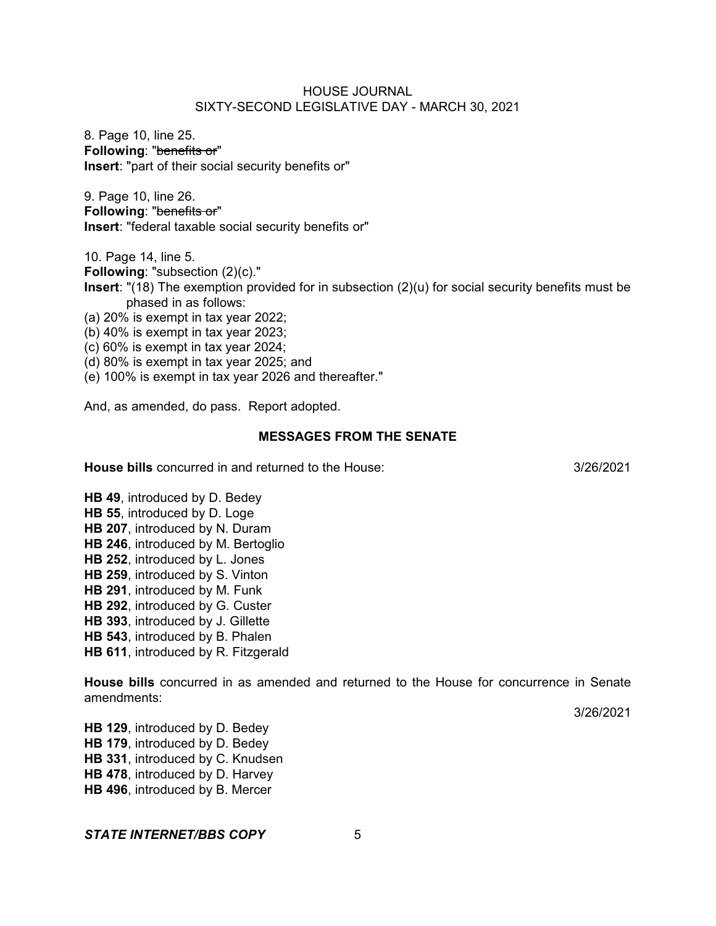8. Page 10, line 25. **Following**: "benefits or" **Insert**: "part of their social security benefits or"

9. Page 10, line 26. **Following**: "benefits or" **Insert**: "federal taxable social security benefits or"

**Following**: "subsection (2)(c)." **Insert**: "(18) The exemption provided for in subsection (2)(u) for social security benefits must be phased in as follows:

(a) 20% is exempt in tax year 2022;

10. Page 14, line 5.

(b) 40% is exempt in tax year 2023;

(c) 60% is exempt in tax year 2024;

(d) 80% is exempt in tax year 2025; and

(e) 100% is exempt in tax year 2026 and thereafter."

And, as amended, do pass. Report adopted.

#### **MESSAGES FROM THE SENATE**

**House bills** concurred in and returned to the House: 3/26/2021

**HB 49**, introduced by D. Bedey **HB 55**, introduced by D. Loge **HB 207**, introduced by N. Duram **HB 246**, introduced by M. Bertoglio **HB 252**, introduced by L. Jones **HB 259**, introduced by S. Vinton **HB 291**, introduced by M. Funk **HB 292**, introduced by G. Custer **HB 393**, introduced by J. Gillette **HB 543**, introduced by B. Phalen **HB 611**, introduced by R. Fitzgerald

**House bills** concurred in as amended and returned to the House for concurrence in Senate amendments:

3/26/2021

**HB 129**, introduced by D. Bedey **HB 179**, introduced by D. Bedey **HB 331**, introduced by C. Knudsen **HB 478**, introduced by D. Harvey **HB 496**, introduced by B. Mercer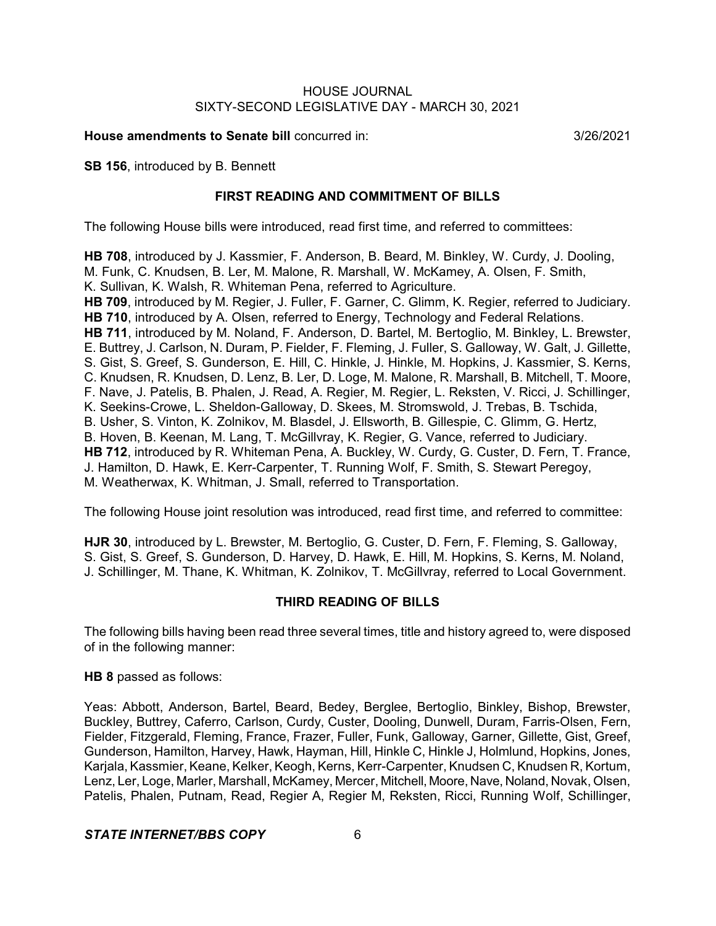**House amendments to Senate bill** concurred in: 3/26/2021

**SB 156**, introduced by B. Bennett

# **FIRST READING AND COMMITMENT OF BILLS**

The following House bills were introduced, read first time, and referred to committees:

**HB 708**, introduced by J. Kassmier, F. Anderson, B. Beard, M. Binkley, W. Curdy, J. Dooling, M. Funk, C. Knudsen, B. Ler, M. Malone, R. Marshall, W. McKamey, A. Olsen, F. Smith, K. Sullivan, K. Walsh, R. Whiteman Pena, referred to Agriculture. **HB 709**, introduced by M. Regier, J. Fuller, F. Garner, C. Glimm, K. Regier, referred to Judiciary. **HB 710**, introduced by A. Olsen, referred to Energy, Technology and Federal Relations. **HB 711**, introduced by M. Noland, F. Anderson, D. Bartel, M. Bertoglio, M. Binkley, L. Brewster, E. Buttrey, J. Carlson, N. Duram, P. Fielder, F. Fleming, J. Fuller, S. Galloway, W. Galt, J. Gillette, S. Gist, S. Greef, S. Gunderson, E. Hill, C. Hinkle, J. Hinkle, M. Hopkins, J. Kassmier, S. Kerns, C. Knudsen, R. Knudsen, D. Lenz, B. Ler, D. Loge, M. Malone, R. Marshall, B. Mitchell, T. Moore, F. Nave, J. Patelis, B. Phalen, J. Read, A. Regier, M. Regier, L. Reksten, V. Ricci, J. Schillinger, K. Seekins-Crowe, L. Sheldon-Galloway, D. Skees, M. Stromswold, J. Trebas, B. Tschida, B. Usher, S. Vinton, K. Zolnikov, M. Blasdel, J. Ellsworth, B. Gillespie, C. Glimm, G. Hertz, B. Hoven, B. Keenan, M. Lang, T. McGillvray, K. Regier, G. Vance, referred to Judiciary. **HB 712**, introduced by R. Whiteman Pena, A. Buckley, W. Curdy, G. Custer, D. Fern, T. France, J. Hamilton, D. Hawk, E. Kerr-Carpenter, T. Running Wolf, F. Smith, S. Stewart Peregoy, M. Weatherwax, K. Whitman, J. Small, referred to Transportation.

The following House joint resolution was introduced, read first time, and referred to committee:

**HJR 30**, introduced by L. Brewster, M. Bertoglio, G. Custer, D. Fern, F. Fleming, S. Galloway, S. Gist, S. Greef, S. Gunderson, D. Harvey, D. Hawk, E. Hill, M. Hopkins, S. Kerns, M. Noland, J. Schillinger, M. Thane, K. Whitman, K. Zolnikov, T. McGillvray, referred to Local Government.

# **THIRD READING OF BILLS**

The following bills having been read three several times, title and history agreed to, were disposed of in the following manner:

**HB 8** passed as follows:

Yeas: Abbott, Anderson, Bartel, Beard, Bedey, Berglee, Bertoglio, Binkley, Bishop, Brewster, Buckley, Buttrey, Caferro, Carlson, Curdy, Custer, Dooling, Dunwell, Duram, Farris-Olsen, Fern, Fielder, Fitzgerald, Fleming, France, Frazer, Fuller, Funk, Galloway, Garner, Gillette, Gist, Greef, Gunderson, Hamilton, Harvey, Hawk, Hayman, Hill, Hinkle C, Hinkle J, Holmlund, Hopkins, Jones, Karjala, Kassmier, Keane, Kelker, Keogh, Kerns, Kerr-Carpenter, Knudsen C, Knudsen R, Kortum, Lenz, Ler, Loge, Marler, Marshall, McKamey, Mercer, Mitchell, Moore, Nave, Noland, Novak, Olsen, Patelis, Phalen, Putnam, Read, Regier A, Regier M, Reksten, Ricci, Running Wolf, Schillinger,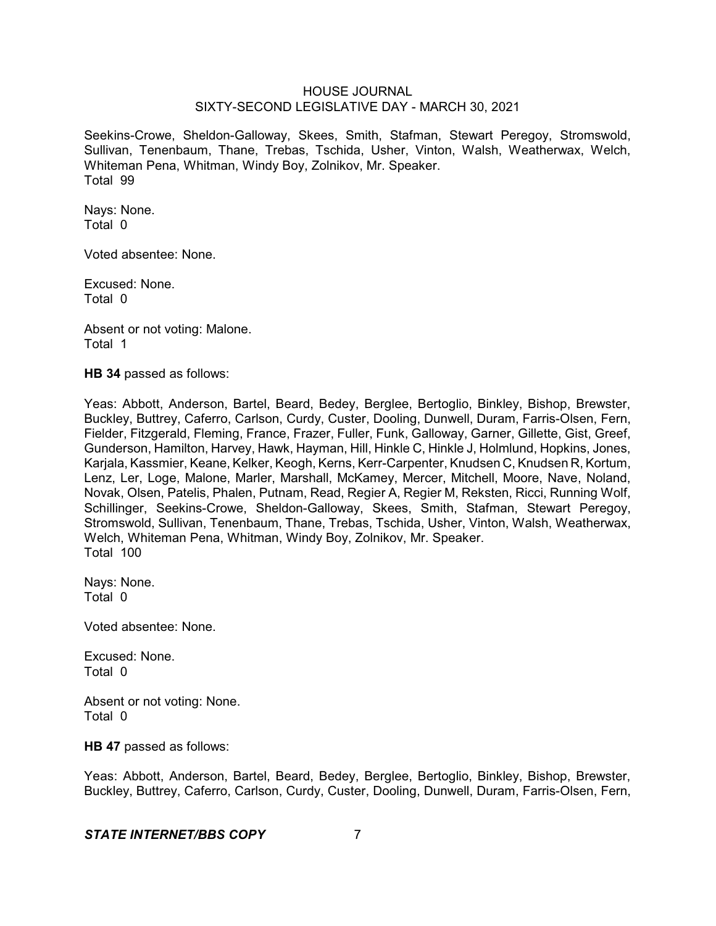Seekins-Crowe, Sheldon-Galloway, Skees, Smith, Stafman, Stewart Peregoy, Stromswold, Sullivan, Tenenbaum, Thane, Trebas, Tschida, Usher, Vinton, Walsh, Weatherwax, Welch, Whiteman Pena, Whitman, Windy Boy, Zolnikov, Mr. Speaker. Total 99

Nays: None. Total 0

Voted absentee: None.

Excused: None. Total 0

Absent or not voting: Malone. Total 1

**HB 34** passed as follows:

Yeas: Abbott, Anderson, Bartel, Beard, Bedey, Berglee, Bertoglio, Binkley, Bishop, Brewster, Buckley, Buttrey, Caferro, Carlson, Curdy, Custer, Dooling, Dunwell, Duram, Farris-Olsen, Fern, Fielder, Fitzgerald, Fleming, France, Frazer, Fuller, Funk, Galloway, Garner, Gillette, Gist, Greef, Gunderson, Hamilton, Harvey, Hawk, Hayman, Hill, Hinkle C, Hinkle J, Holmlund, Hopkins, Jones, Karjala, Kassmier, Keane, Kelker, Keogh, Kerns, Kerr-Carpenter, Knudsen C, Knudsen R, Kortum, Lenz, Ler, Loge, Malone, Marler, Marshall, McKamey, Mercer, Mitchell, Moore, Nave, Noland, Novak, Olsen, Patelis, Phalen, Putnam, Read, Regier A, Regier M, Reksten, Ricci, Running Wolf, Schillinger, Seekins-Crowe, Sheldon-Galloway, Skees, Smith, Stafman, Stewart Peregoy, Stromswold, Sullivan, Tenenbaum, Thane, Trebas, Tschida, Usher, Vinton, Walsh, Weatherwax, Welch, Whiteman Pena, Whitman, Windy Boy, Zolnikov, Mr. Speaker. Total 100

Nays: None. Total 0

Voted absentee: None.

Excused: None. Total 0

Absent or not voting: None. Total 0

**HB 47** passed as follows:

Yeas: Abbott, Anderson, Bartel, Beard, Bedey, Berglee, Bertoglio, Binkley, Bishop, Brewster, Buckley, Buttrey, Caferro, Carlson, Curdy, Custer, Dooling, Dunwell, Duram, Farris-Olsen, Fern,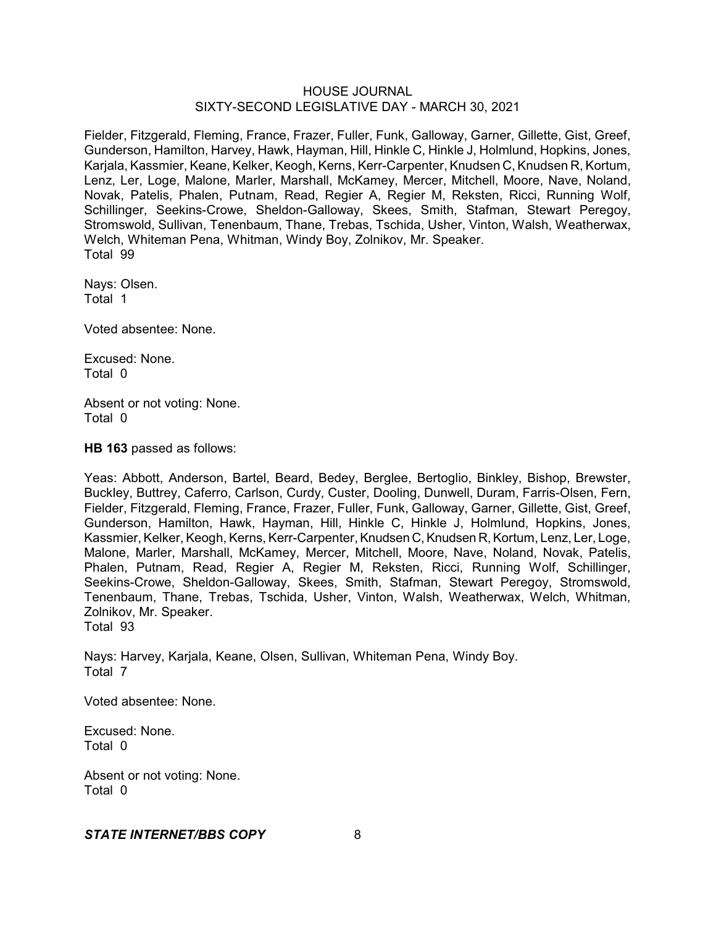Fielder, Fitzgerald, Fleming, France, Frazer, Fuller, Funk, Galloway, Garner, Gillette, Gist, Greef, Gunderson, Hamilton, Harvey, Hawk, Hayman, Hill, Hinkle C, Hinkle J, Holmlund, Hopkins, Jones, Karjala, Kassmier, Keane, Kelker, Keogh, Kerns, Kerr-Carpenter, Knudsen C, Knudsen R, Kortum, Lenz, Ler, Loge, Malone, Marler, Marshall, McKamey, Mercer, Mitchell, Moore, Nave, Noland, Novak, Patelis, Phalen, Putnam, Read, Regier A, Regier M, Reksten, Ricci, Running Wolf, Schillinger, Seekins-Crowe, Sheldon-Galloway, Skees, Smith, Stafman, Stewart Peregoy, Stromswold, Sullivan, Tenenbaum, Thane, Trebas, Tschida, Usher, Vinton, Walsh, Weatherwax, Welch, Whiteman Pena, Whitman, Windy Boy, Zolnikov, Mr. Speaker. Total 99

Nays: Olsen. Total 1

Voted absentee: None.

Excused: None. Total 0

Absent or not voting: None. Total 0

**HB 163** passed as follows:

Yeas: Abbott, Anderson, Bartel, Beard, Bedey, Berglee, Bertoglio, Binkley, Bishop, Brewster, Buckley, Buttrey, Caferro, Carlson, Curdy, Custer, Dooling, Dunwell, Duram, Farris-Olsen, Fern, Fielder, Fitzgerald, Fleming, France, Frazer, Fuller, Funk, Galloway, Garner, Gillette, Gist, Greef, Gunderson, Hamilton, Hawk, Hayman, Hill, Hinkle C, Hinkle J, Holmlund, Hopkins, Jones, Kassmier, Kelker, Keogh, Kerns, Kerr-Carpenter, Knudsen C, Knudsen R, Kortum, Lenz, Ler, Loge, Malone, Marler, Marshall, McKamey, Mercer, Mitchell, Moore, Nave, Noland, Novak, Patelis, Phalen, Putnam, Read, Regier A, Regier M, Reksten, Ricci, Running Wolf, Schillinger, Seekins-Crowe, Sheldon-Galloway, Skees, Smith, Stafman, Stewart Peregoy, Stromswold, Tenenbaum, Thane, Trebas, Tschida, Usher, Vinton, Walsh, Weatherwax, Welch, Whitman, Zolnikov, Mr. Speaker. Total 93

Nays: Harvey, Karjala, Keane, Olsen, Sullivan, Whiteman Pena, Windy Boy. Total 7

Voted absentee: None.

Excused: None. Total 0

Absent or not voting: None. Total 0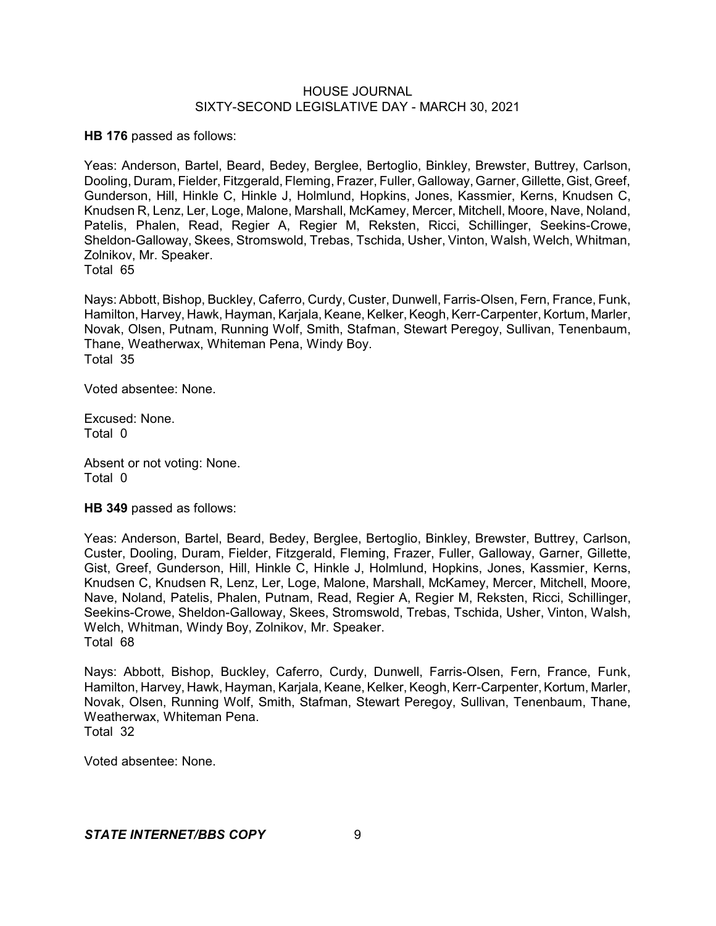**HB 176** passed as follows:

Yeas: Anderson, Bartel, Beard, Bedey, Berglee, Bertoglio, Binkley, Brewster, Buttrey, Carlson, Dooling, Duram, Fielder, Fitzgerald, Fleming, Frazer, Fuller, Galloway, Garner, Gillette,Gist, Greef, Gunderson, Hill, Hinkle C, Hinkle J, Holmlund, Hopkins, Jones, Kassmier, Kerns, Knudsen C, Knudsen R, Lenz, Ler, Loge, Malone, Marshall, McKamey, Mercer, Mitchell, Moore, Nave, Noland, Patelis, Phalen, Read, Regier A, Regier M, Reksten, Ricci, Schillinger, Seekins-Crowe, Sheldon-Galloway, Skees, Stromswold, Trebas, Tschida, Usher, Vinton, Walsh, Welch, Whitman, Zolnikov, Mr. Speaker.

Total 65

Nays: Abbott, Bishop, Buckley, Caferro, Curdy, Custer, Dunwell, Farris-Olsen, Fern, France, Funk, Hamilton, Harvey, Hawk, Hayman, Karjala, Keane, Kelker, Keogh, Kerr-Carpenter, Kortum, Marler, Novak, Olsen, Putnam, Running Wolf, Smith, Stafman, Stewart Peregoy, Sullivan, Tenenbaum, Thane, Weatherwax, Whiteman Pena, Windy Boy. Total 35

Voted absentee: None.

Excused: None. Total 0

Absent or not voting: None. Total 0

**HB 349** passed as follows:

Yeas: Anderson, Bartel, Beard, Bedey, Berglee, Bertoglio, Binkley, Brewster, Buttrey, Carlson, Custer, Dooling, Duram, Fielder, Fitzgerald, Fleming, Frazer, Fuller, Galloway, Garner, Gillette, Gist, Greef, Gunderson, Hill, Hinkle C, Hinkle J, Holmlund, Hopkins, Jones, Kassmier, Kerns, Knudsen C, Knudsen R, Lenz, Ler, Loge, Malone, Marshall, McKamey, Mercer, Mitchell, Moore, Nave, Noland, Patelis, Phalen, Putnam, Read, Regier A, Regier M, Reksten, Ricci, Schillinger, Seekins-Crowe, Sheldon-Galloway, Skees, Stromswold, Trebas, Tschida, Usher, Vinton, Walsh, Welch, Whitman, Windy Boy, Zolnikov, Mr. Speaker. Total 68

Nays: Abbott, Bishop, Buckley, Caferro, Curdy, Dunwell, Farris-Olsen, Fern, France, Funk, Hamilton, Harvey, Hawk, Hayman, Karjala, Keane, Kelker, Keogh, Kerr-Carpenter, Kortum, Marler, Novak, Olsen, Running Wolf, Smith, Stafman, Stewart Peregoy, Sullivan, Tenenbaum, Thane, Weatherwax, Whiteman Pena. Total 32

Voted absentee: None.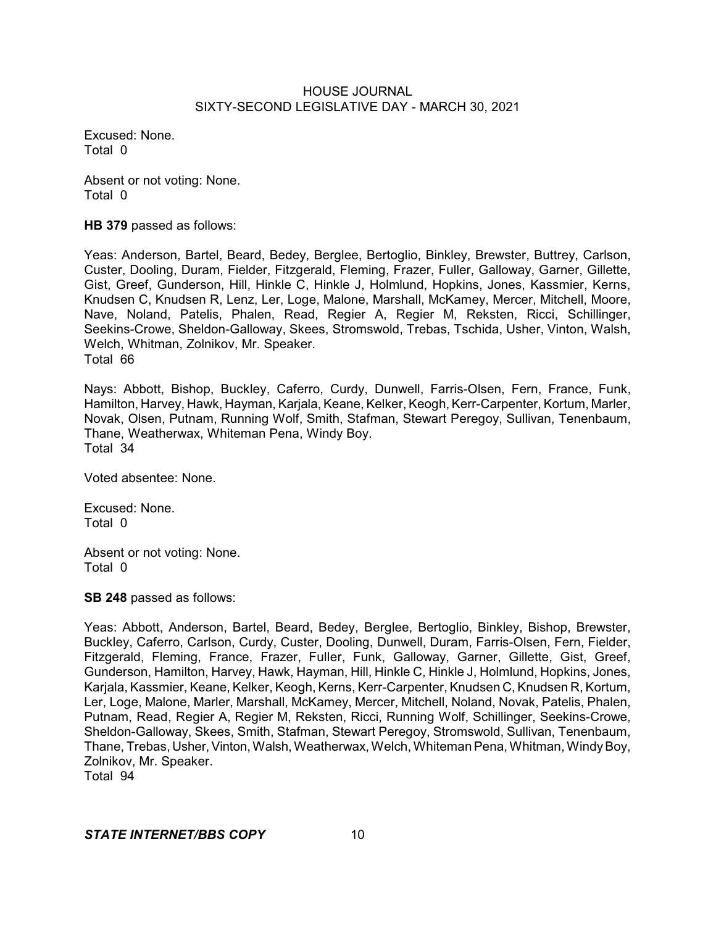Excused: None. Total 0

Absent or not voting: None. Total 0

**HB 379** passed as follows:

Yeas: Anderson, Bartel, Beard, Bedey, Berglee, Bertoglio, Binkley, Brewster, Buttrey, Carlson, Custer, Dooling, Duram, Fielder, Fitzgerald, Fleming, Frazer, Fuller, Galloway, Garner, Gillette, Gist, Greef, Gunderson, Hill, Hinkle C, Hinkle J, Holmlund, Hopkins, Jones, Kassmier, Kerns, Knudsen C, Knudsen R, Lenz, Ler, Loge, Malone, Marshall, McKamey, Mercer, Mitchell, Moore, Nave, Noland, Patelis, Phalen, Read, Regier A, Regier M, Reksten, Ricci, Schillinger, Seekins-Crowe, Sheldon-Galloway, Skees, Stromswold, Trebas, Tschida, Usher, Vinton, Walsh, Welch, Whitman, Zolnikov, Mr. Speaker. Total 66

Nays: Abbott, Bishop, Buckley, Caferro, Curdy, Dunwell, Farris-Olsen, Fern, France, Funk, Hamilton, Harvey, Hawk, Hayman, Karjala, Keane, Kelker, Keogh, Kerr-Carpenter, Kortum, Marler, Novak, Olsen, Putnam, Running Wolf, Smith, Stafman, Stewart Peregoy, Sullivan, Tenenbaum, Thane, Weatherwax, Whiteman Pena, Windy Boy. Total 34

Voted absentee: None.

Excused: None. Total 0

Absent or not voting: None. Total 0

**SB 248** passed as follows:

Yeas: Abbott, Anderson, Bartel, Beard, Bedey, Berglee, Bertoglio, Binkley, Bishop, Brewster, Buckley, Caferro, Carlson, Curdy, Custer, Dooling, Dunwell, Duram, Farris-Olsen, Fern, Fielder, Fitzgerald, Fleming, France, Frazer, Fuller, Funk, Galloway, Garner, Gillette, Gist, Greef, Gunderson, Hamilton, Harvey, Hawk, Hayman, Hill, Hinkle C, Hinkle J, Holmlund, Hopkins, Jones, Karjala, Kassmier, Keane, Kelker, Keogh, Kerns, Kerr-Carpenter, Knudsen C, Knudsen R, Kortum, Ler, Loge, Malone, Marler, Marshall, McKamey, Mercer, Mitchell, Noland, Novak, Patelis, Phalen, Putnam, Read, Regier A, Regier M, Reksten, Ricci, Running Wolf, Schillinger, Seekins-Crowe, Sheldon-Galloway, Skees, Smith, Stafman, Stewart Peregoy, Stromswold, Sullivan, Tenenbaum, Thane, Trebas, Usher, Vinton, Walsh, Weatherwax, Welch, Whiteman Pena, Whitman, Windy Boy, Zolnikov, Mr. Speaker. Total 94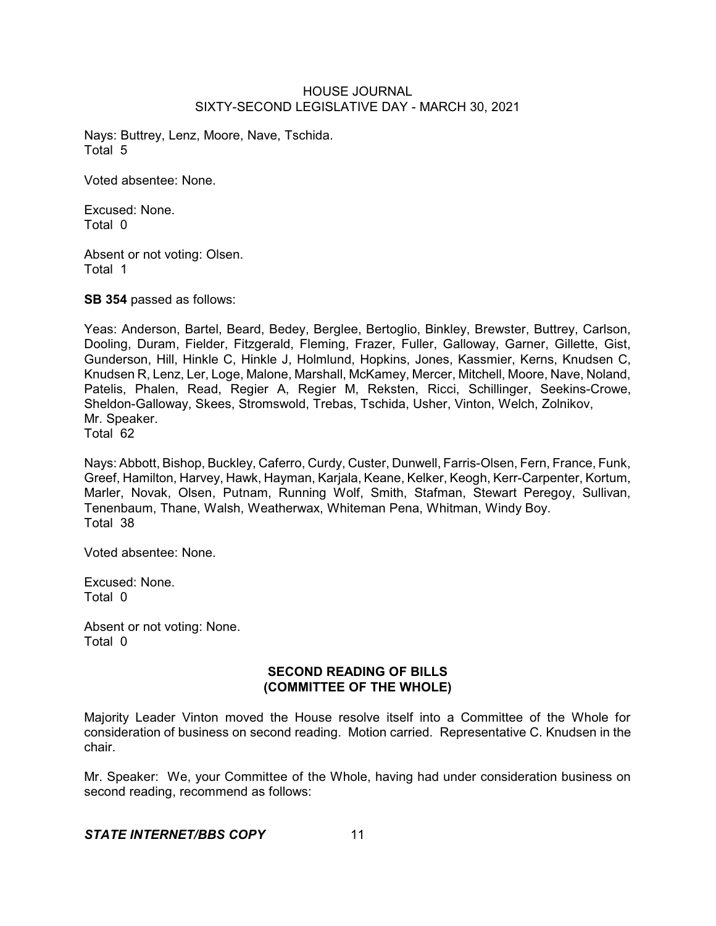Nays: Buttrey, Lenz, Moore, Nave, Tschida. Total 5

Voted absentee: None.

Excused: None. Total 0

Absent or not voting: Olsen. Total 1

**SB 354** passed as follows:

Yeas: Anderson, Bartel, Beard, Bedey, Berglee, Bertoglio, Binkley, Brewster, Buttrey, Carlson, Dooling, Duram, Fielder, Fitzgerald, Fleming, Frazer, Fuller, Galloway, Garner, Gillette, Gist, Gunderson, Hill, Hinkle C, Hinkle J, Holmlund, Hopkins, Jones, Kassmier, Kerns, Knudsen C, Knudsen R, Lenz, Ler, Loge, Malone, Marshall, McKamey, Mercer, Mitchell, Moore, Nave, Noland, Patelis, Phalen, Read, Regier A, Regier M, Reksten, Ricci, Schillinger, Seekins-Crowe, Sheldon-Galloway, Skees, Stromswold, Trebas, Tschida, Usher, Vinton, Welch, Zolnikov, Mr. Speaker.

Total 62

Nays: Abbott, Bishop, Buckley, Caferro, Curdy, Custer, Dunwell, Farris-Olsen, Fern, France, Funk, Greef, Hamilton, Harvey, Hawk, Hayman, Karjala, Keane, Kelker, Keogh, Kerr-Carpenter, Kortum, Marler, Novak, Olsen, Putnam, Running Wolf, Smith, Stafman, Stewart Peregoy, Sullivan, Tenenbaum, Thane, Walsh, Weatherwax, Whiteman Pena, Whitman, Windy Boy. Total 38

Voted absentee: None.

Excused: None. Total 0

Absent or not voting: None. Total 0

# **SECOND READING OF BILLS (COMMITTEE OF THE WHOLE)**

Majority Leader Vinton moved the House resolve itself into a Committee of the Whole for consideration of business on second reading. Motion carried. Representative C. Knudsen in the chair.

Mr. Speaker: We, your Committee of the Whole, having had under consideration business on second reading, recommend as follows: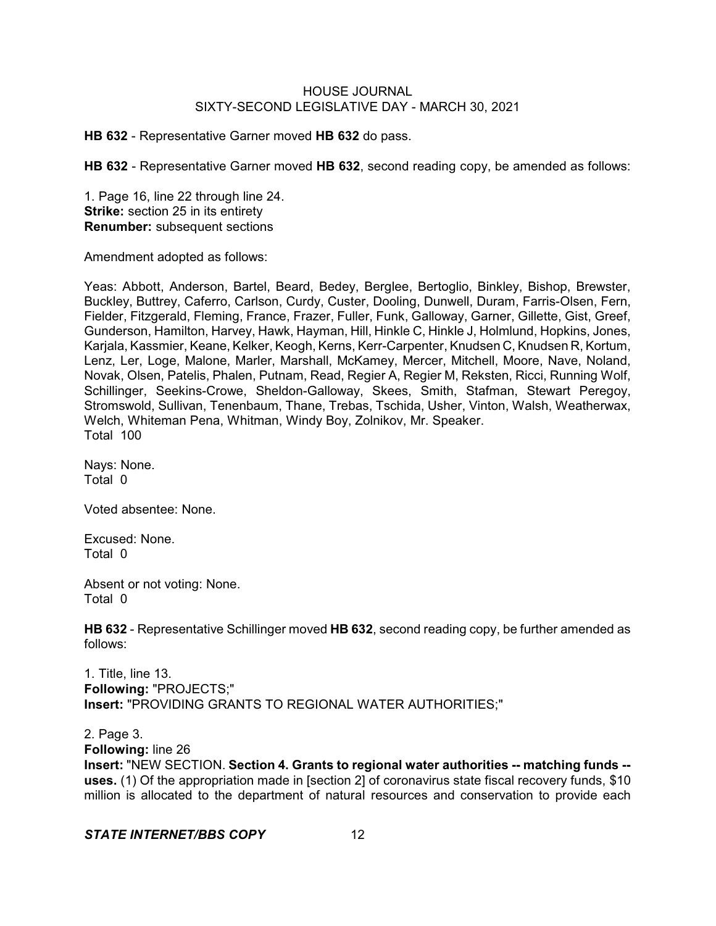**HB 632** - Representative Garner moved **HB 632** do pass.

**HB 632** - Representative Garner moved **HB 632**, second reading copy, be amended as follows:

1. Page 16, line 22 through line 24. **Strike:** section 25 in its entirety **Renumber:** subsequent sections

Amendment adopted as follows:

Yeas: Abbott, Anderson, Bartel, Beard, Bedey, Berglee, Bertoglio, Binkley, Bishop, Brewster, Buckley, Buttrey, Caferro, Carlson, Curdy, Custer, Dooling, Dunwell, Duram, Farris-Olsen, Fern, Fielder, Fitzgerald, Fleming, France, Frazer, Fuller, Funk, Galloway, Garner, Gillette, Gist, Greef, Gunderson, Hamilton, Harvey, Hawk, Hayman, Hill, Hinkle C, Hinkle J, Holmlund, Hopkins, Jones, Karjala, Kassmier, Keane, Kelker, Keogh, Kerns, Kerr-Carpenter, Knudsen C, Knudsen R, Kortum, Lenz, Ler, Loge, Malone, Marler, Marshall, McKamey, Mercer, Mitchell, Moore, Nave, Noland, Novak, Olsen, Patelis, Phalen, Putnam, Read, Regier A, Regier M, Reksten, Ricci, Running Wolf, Schillinger, Seekins-Crowe, Sheldon-Galloway, Skees, Smith, Stafman, Stewart Peregoy, Stromswold, Sullivan, Tenenbaum, Thane, Trebas, Tschida, Usher, Vinton, Walsh, Weatherwax, Welch, Whiteman Pena, Whitman, Windy Boy, Zolnikov, Mr. Speaker. Total 100

Nays: None. Total 0

Voted absentee: None.

Excused: None. Total 0

Absent or not voting: None. Total 0

**HB 632** - Representative Schillinger moved **HB 632**, second reading copy, be further amended as follows:

1. Title, line 13. **Following:** "PROJECTS;" **Insert:** "PROVIDING GRANTS TO REGIONAL WATER AUTHORITIES;"

2. Page 3.

**Following:** line 26

**Insert:** "NEW SECTION. **Section 4. Grants to regional water authorities -- matching funds - uses.** (1) Of the appropriation made in [section 2] of coronavirus state fiscal recovery funds, \$10 million is allocated to the department of natural resources and conservation to provide each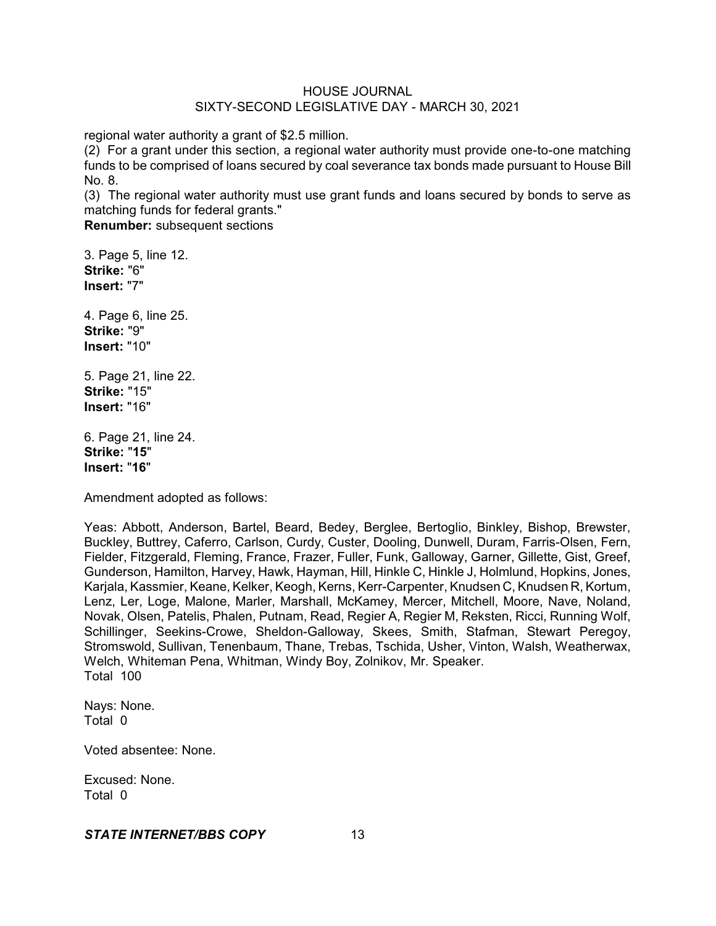regional water authority a grant of \$2.5 million.

(2) For a grant under this section, a regional water authority must provide one-to-one matching funds to be comprised of loans secured by coal severance tax bonds made pursuant to House Bill No. 8.

(3) The regional water authority must use grant funds and loans secured by bonds to serve as matching funds for federal grants."

**Renumber:** subsequent sections

3. Page 5, line 12. **Strike:** "6" **Insert:** "7"

4. Page 6, line 25. **Strike:** "9" **Insert:** "10"

5. Page 21, line 22. **Strike:** "15" **Insert:** "16"

6. Page 21, line 24. **Strike:** "**15**" **Insert:** "**16**"

Amendment adopted as follows:

Yeas: Abbott, Anderson, Bartel, Beard, Bedey, Berglee, Bertoglio, Binkley, Bishop, Brewster, Buckley, Buttrey, Caferro, Carlson, Curdy, Custer, Dooling, Dunwell, Duram, Farris-Olsen, Fern, Fielder, Fitzgerald, Fleming, France, Frazer, Fuller, Funk, Galloway, Garner, Gillette, Gist, Greef, Gunderson, Hamilton, Harvey, Hawk, Hayman, Hill, Hinkle C, Hinkle J, Holmlund, Hopkins, Jones, Karjala, Kassmier, Keane, Kelker, Keogh, Kerns, Kerr-Carpenter, Knudsen C, Knudsen R, Kortum, Lenz, Ler, Loge, Malone, Marler, Marshall, McKamey, Mercer, Mitchell, Moore, Nave, Noland, Novak, Olsen, Patelis, Phalen, Putnam, Read, Regier A, Regier M, Reksten, Ricci, Running Wolf, Schillinger, Seekins-Crowe, Sheldon-Galloway, Skees, Smith, Stafman, Stewart Peregoy, Stromswold, Sullivan, Tenenbaum, Thane, Trebas, Tschida, Usher, Vinton, Walsh, Weatherwax, Welch, Whiteman Pena, Whitman, Windy Boy, Zolnikov, Mr. Speaker. Total 100

Nays: None. Total 0

Voted absentee: None.

Excused: None. Total 0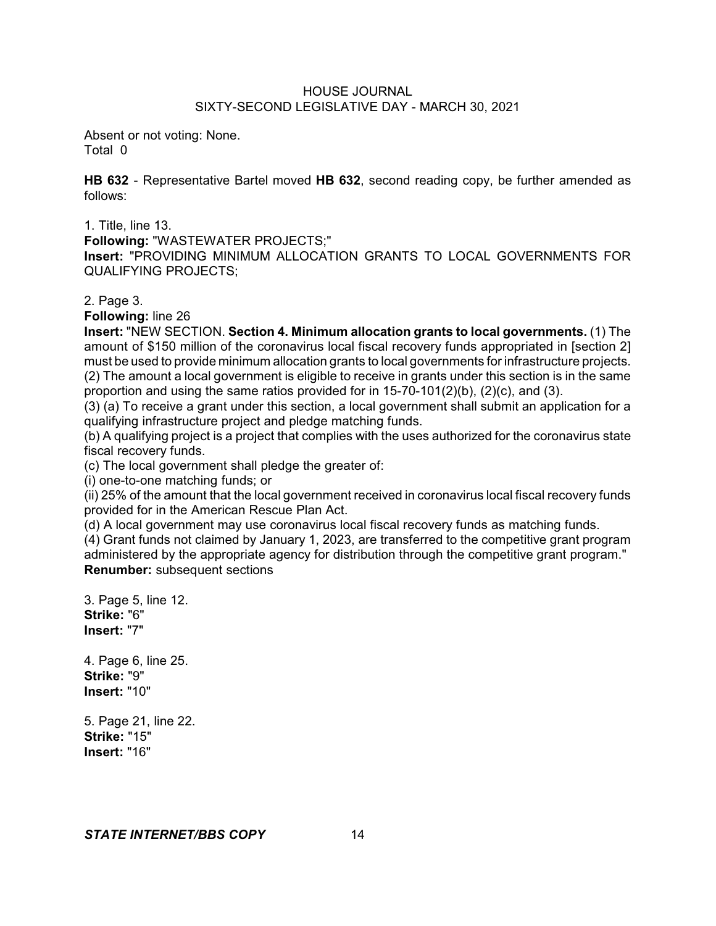Absent or not voting: None. Total 0

**HB 632** - Representative Bartel moved **HB 632**, second reading copy, be further amended as follows:

1. Title, line 13.

**Following:** "WASTEWATER PROJECTS;"

**Insert:** "PROVIDING MINIMUM ALLOCATION GRANTS TO LOCAL GOVERNMENTS FOR QUALIFYING PROJECTS;

2. Page 3.

**Following:** line 26

**Insert:** "NEW SECTION. **Section 4. Minimum allocation grants to local governments.** (1) The amount of \$150 million of the coronavirus local fiscal recovery funds appropriated in [section 2] must be used to provide minimum allocation grants to local governments for infrastructure projects. (2) The amount a local government is eligible to receive in grants under this section is in the same proportion and using the same ratios provided for in  $15-70-101(2)(b)$ ,  $(2)(c)$ , and  $(3)$ .

(3) (a) To receive a grant under this section, a local government shall submit an application for a qualifying infrastructure project and pledge matching funds.

(b) A qualifying project is a project that complies with the uses authorized for the coronavirus state fiscal recovery funds.

(c) The local government shall pledge the greater of:

(i) one-to-one matching funds; or

(ii) 25% of the amount that the local government received in coronavirus local fiscal recovery funds provided for in the American Rescue Plan Act.

(d) A local government may use coronavirus local fiscal recovery funds as matching funds.

(4) Grant funds not claimed by January 1, 2023, are transferred to the competitive grant program administered by the appropriate agency for distribution through the competitive grant program." **Renumber:** subsequent sections

3. Page 5, line 12. **Strike:** "6" **Insert:** "7"

4. Page 6, line 25. **Strike:** "9" **Insert:** "10"

5. Page 21, line 22. **Strike:** "15" **Insert:** "16"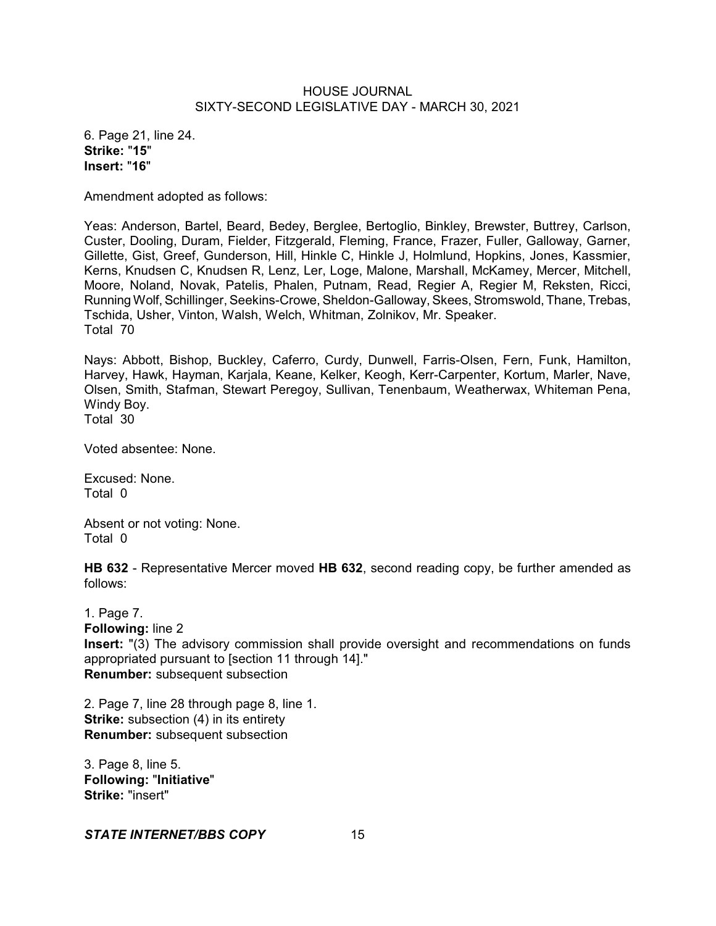6. Page 21, line 24. **Strike:** "**15**" **Insert:** "**16**"

Amendment adopted as follows:

Yeas: Anderson, Bartel, Beard, Bedey, Berglee, Bertoglio, Binkley, Brewster, Buttrey, Carlson, Custer, Dooling, Duram, Fielder, Fitzgerald, Fleming, France, Frazer, Fuller, Galloway, Garner, Gillette, Gist, Greef, Gunderson, Hill, Hinkle C, Hinkle J, Holmlund, Hopkins, Jones, Kassmier, Kerns, Knudsen C, Knudsen R, Lenz, Ler, Loge, Malone, Marshall, McKamey, Mercer, Mitchell, Moore, Noland, Novak, Patelis, Phalen, Putnam, Read, Regier A, Regier M, Reksten, Ricci, Running Wolf, Schillinger, Seekins-Crowe, Sheldon-Galloway, Skees, Stromswold, Thane, Trebas, Tschida, Usher, Vinton, Walsh, Welch, Whitman, Zolnikov, Mr. Speaker. Total 70

Nays: Abbott, Bishop, Buckley, Caferro, Curdy, Dunwell, Farris-Olsen, Fern, Funk, Hamilton, Harvey, Hawk, Hayman, Karjala, Keane, Kelker, Keogh, Kerr-Carpenter, Kortum, Marler, Nave, Olsen, Smith, Stafman, Stewart Peregoy, Sullivan, Tenenbaum, Weatherwax, Whiteman Pena, Windy Boy. Total 30

Voted absentee: None.

Excused: None. Total 0

Absent or not voting: None. Total 0

**HB 632** - Representative Mercer moved **HB 632**, second reading copy, be further amended as follows:

1. Page 7. **Following:** line 2 **Insert:** "(3) The advisory commission shall provide oversight and recommendations on funds appropriated pursuant to [section 11 through 14]." **Renumber:** subsequent subsection

2. Page 7, line 28 through page 8, line 1. **Strike:** subsection (4) in its entirety **Renumber:** subsequent subsection

3. Page 8, line 5. **Following:** "**Initiative**" **Strike:** "insert"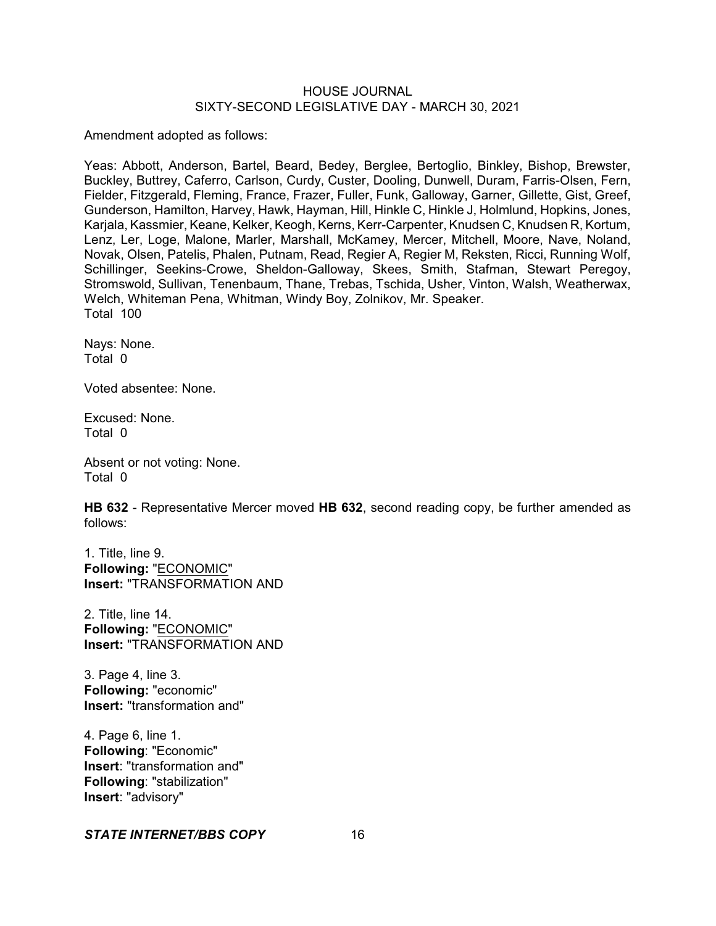Amendment adopted as follows:

Yeas: Abbott, Anderson, Bartel, Beard, Bedey, Berglee, Bertoglio, Binkley, Bishop, Brewster, Buckley, Buttrey, Caferro, Carlson, Curdy, Custer, Dooling, Dunwell, Duram, Farris-Olsen, Fern, Fielder, Fitzgerald, Fleming, France, Frazer, Fuller, Funk, Galloway, Garner, Gillette, Gist, Greef, Gunderson, Hamilton, Harvey, Hawk, Hayman, Hill, Hinkle C, Hinkle J, Holmlund, Hopkins, Jones, Karjala, Kassmier, Keane, Kelker, Keogh, Kerns, Kerr-Carpenter, Knudsen C, Knudsen R, Kortum, Lenz, Ler, Loge, Malone, Marler, Marshall, McKamey, Mercer, Mitchell, Moore, Nave, Noland, Novak, Olsen, Patelis, Phalen, Putnam, Read, Regier A, Regier M, Reksten, Ricci, Running Wolf, Schillinger, Seekins-Crowe, Sheldon-Galloway, Skees, Smith, Stafman, Stewart Peregoy, Stromswold, Sullivan, Tenenbaum, Thane, Trebas, Tschida, Usher, Vinton, Walsh, Weatherwax, Welch, Whiteman Pena, Whitman, Windy Boy, Zolnikov, Mr. Speaker. Total 100

Nays: None. Total 0

Voted absentee: None.

Excused: None. Total 0

Absent or not voting: None. Total 0

**HB 632** - Representative Mercer moved **HB 632**, second reading copy, be further amended as follows:

1. Title, line 9. **Following:** "ECONOMIC" **Insert:** "TRANSFORMATION AND

2. Title, line 14. **Following:** "ECONOMIC" **Insert:** "TRANSFORMATION AND

3. Page 4, line 3. **Following:** "economic" **Insert:** "transformation and"

4. Page 6, line 1. **Following**: "Economic" **Insert**: "transformation and" **Following**: "stabilization" **Insert**: "advisory"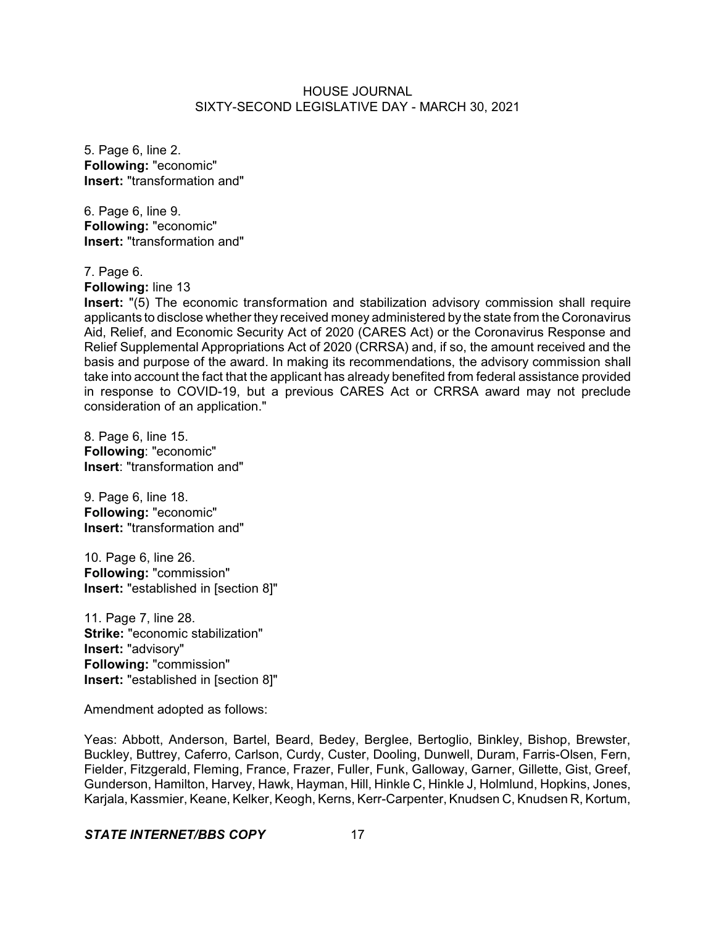5. Page 6, line 2. **Following:** "economic" **Insert:** "transformation and"

6. Page 6, line 9. **Following:** "economic" **Insert:** "transformation and"

7. Page 6.

**Following:** line 13

**Insert:** "(5) The economic transformation and stabilization advisory commission shall require applicants to disclose whether they received money administered by the state from the Coronavirus Aid, Relief, and Economic Security Act of 2020 (CARES Act) or the Coronavirus Response and Relief Supplemental Appropriations Act of 2020 (CRRSA) and, if so, the amount received and the basis and purpose of the award. In making its recommendations, the advisory commission shall take into account the fact that the applicant has already benefited from federal assistance provided in response to COVID-19, but a previous CARES Act or CRRSA award may not preclude consideration of an application."

8. Page 6, line 15. **Following**: "economic" **Insert**: "transformation and"

9. Page 6, line 18. **Following:** "economic" **Insert:** "transformation and"

10. Page 6, line 26. **Following:** "commission" **Insert:** "established in [section 8]"

11. Page 7, line 28. **Strike:** "economic stabilization" **Insert:** "advisory" **Following:** "commission" **Insert:** "established in [section 8]"

Amendment adopted as follows:

Yeas: Abbott, Anderson, Bartel, Beard, Bedey, Berglee, Bertoglio, Binkley, Bishop, Brewster, Buckley, Buttrey, Caferro, Carlson, Curdy, Custer, Dooling, Dunwell, Duram, Farris-Olsen, Fern, Fielder, Fitzgerald, Fleming, France, Frazer, Fuller, Funk, Galloway, Garner, Gillette, Gist, Greef, Gunderson, Hamilton, Harvey, Hawk, Hayman, Hill, Hinkle C, Hinkle J, Holmlund, Hopkins, Jones, Karjala, Kassmier, Keane, Kelker, Keogh, Kerns, Kerr-Carpenter, Knudsen C, Knudsen R, Kortum,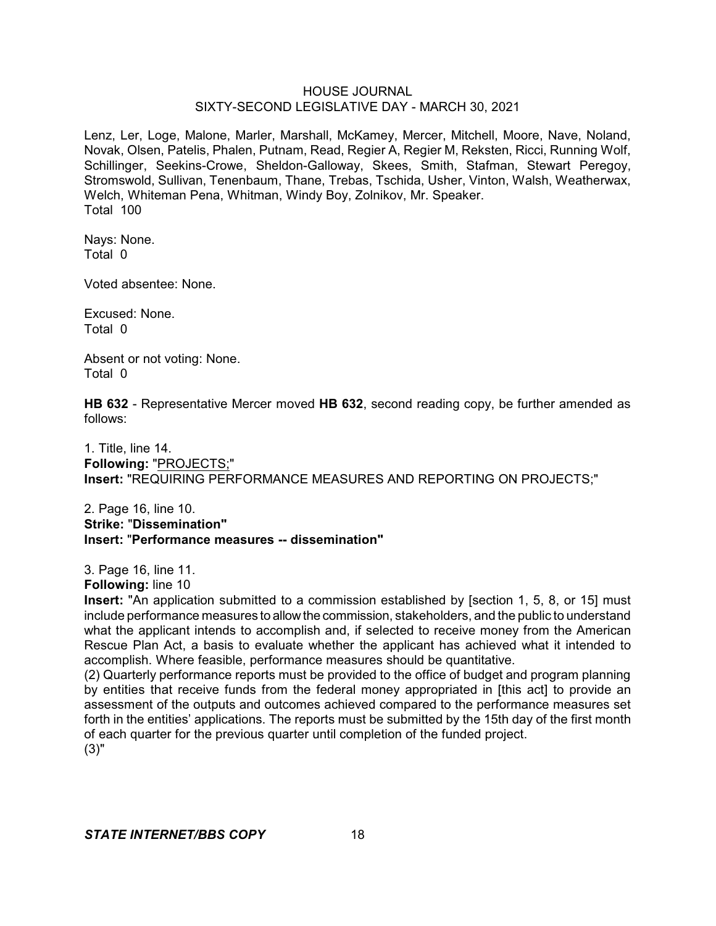Lenz, Ler, Loge, Malone, Marler, Marshall, McKamey, Mercer, Mitchell, Moore, Nave, Noland, Novak, Olsen, Patelis, Phalen, Putnam, Read, Regier A, Regier M, Reksten, Ricci, Running Wolf, Schillinger, Seekins-Crowe, Sheldon-Galloway, Skees, Smith, Stafman, Stewart Peregoy, Stromswold, Sullivan, Tenenbaum, Thane, Trebas, Tschida, Usher, Vinton, Walsh, Weatherwax, Welch, Whiteman Pena, Whitman, Windy Boy, Zolnikov, Mr. Speaker. Total 100

Nays: None. Total 0

Voted absentee: None.

Excused: None. Total 0

Absent or not voting: None. Total 0

**HB 632** - Representative Mercer moved **HB 632**, second reading copy, be further amended as follows:

1. Title, line 14. **Following:** "PROJECTS;" **Insert:** "REQUIRING PERFORMANCE MEASURES AND REPORTING ON PROJECTS;"

2. Page 16, line 10. **Strike:** "**Dissemination" Insert:** "**Performance measures -- dissemination"**

3. Page 16, line 11.

**Following:** line 10

**Insert:** "An application submitted to a commission established by [section 1, 5, 8, or 15] must include performance measures to allowthe commission, stakeholders, and the public to understand what the applicant intends to accomplish and, if selected to receive money from the American Rescue Plan Act, a basis to evaluate whether the applicant has achieved what it intended to accomplish. Where feasible, performance measures should be quantitative.

(2) Quarterly performance reports must be provided to the office of budget and program planning by entities that receive funds from the federal money appropriated in [this act] to provide an assessment of the outputs and outcomes achieved compared to the performance measures set forth in the entities' applications. The reports must be submitted by the 15th day of the first month of each quarter for the previous quarter until completion of the funded project. (3)"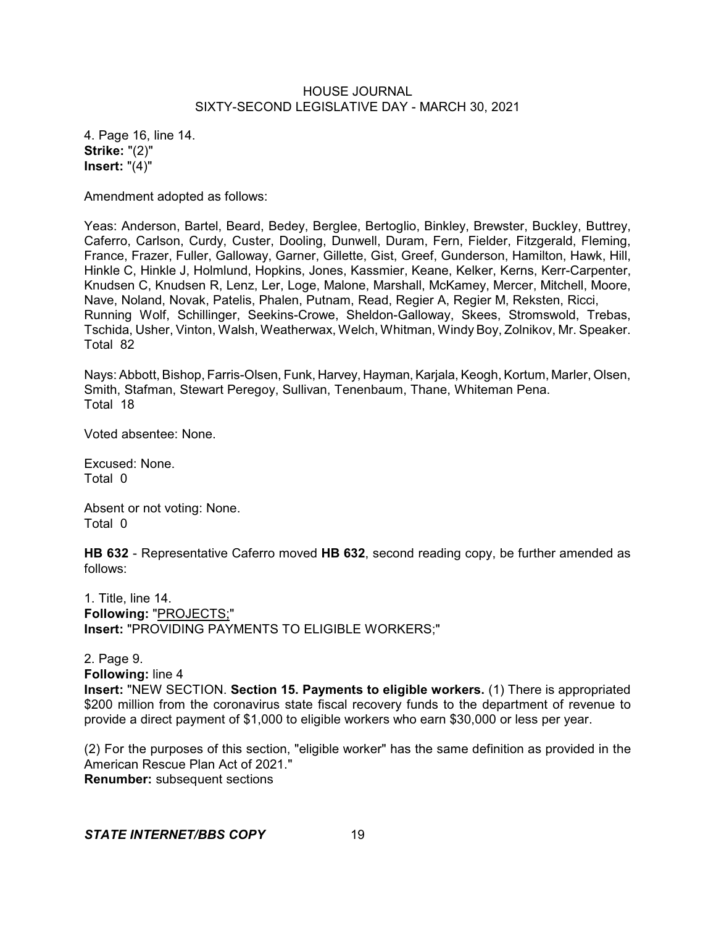4. Page 16, line 14. **Strike:** "(2)" **Insert:** "(4)"

Amendment adopted as follows:

Yeas: Anderson, Bartel, Beard, Bedey, Berglee, Bertoglio, Binkley, Brewster, Buckley, Buttrey, Caferro, Carlson, Curdy, Custer, Dooling, Dunwell, Duram, Fern, Fielder, Fitzgerald, Fleming, France, Frazer, Fuller, Galloway, Garner, Gillette, Gist, Greef, Gunderson, Hamilton, Hawk, Hill, Hinkle C, Hinkle J, Holmlund, Hopkins, Jones, Kassmier, Keane, Kelker, Kerns, Kerr-Carpenter, Knudsen C, Knudsen R, Lenz, Ler, Loge, Malone, Marshall, McKamey, Mercer, Mitchell, Moore, Nave, Noland, Novak, Patelis, Phalen, Putnam, Read, Regier A, Regier M, Reksten, Ricci, Running Wolf, Schillinger, Seekins-Crowe, Sheldon-Galloway, Skees, Stromswold, Trebas, Tschida, Usher, Vinton, Walsh, Weatherwax, Welch, Whitman, Windy Boy, Zolnikov, Mr. Speaker. Total 82

Nays: Abbott, Bishop, Farris-Olsen, Funk, Harvey, Hayman,Karjala, Keogh, Kortum, Marler, Olsen, Smith, Stafman, Stewart Peregoy, Sullivan, Tenenbaum, Thane, Whiteman Pena. Total 18

Voted absentee: None.

Excused: None. Total 0

Absent or not voting: None. Total 0

**HB 632** - Representative Caferro moved **HB 632**, second reading copy, be further amended as follows:

1. Title, line 14. **Following:** "PROJECTS;" **Insert:** "PROVIDING PAYMENTS TO ELIGIBLE WORKERS;"

2. Page 9.

**Following:** line 4

**Insert:** "NEW SECTION. **Section 15. Payments to eligible workers.** (1) There is appropriated \$200 million from the coronavirus state fiscal recovery funds to the department of revenue to provide a direct payment of \$1,000 to eligible workers who earn \$30,000 or less per year.

(2) For the purposes of this section, "eligible worker" has the same definition as provided in the American Rescue Plan Act of 2021." **Renumber:** subsequent sections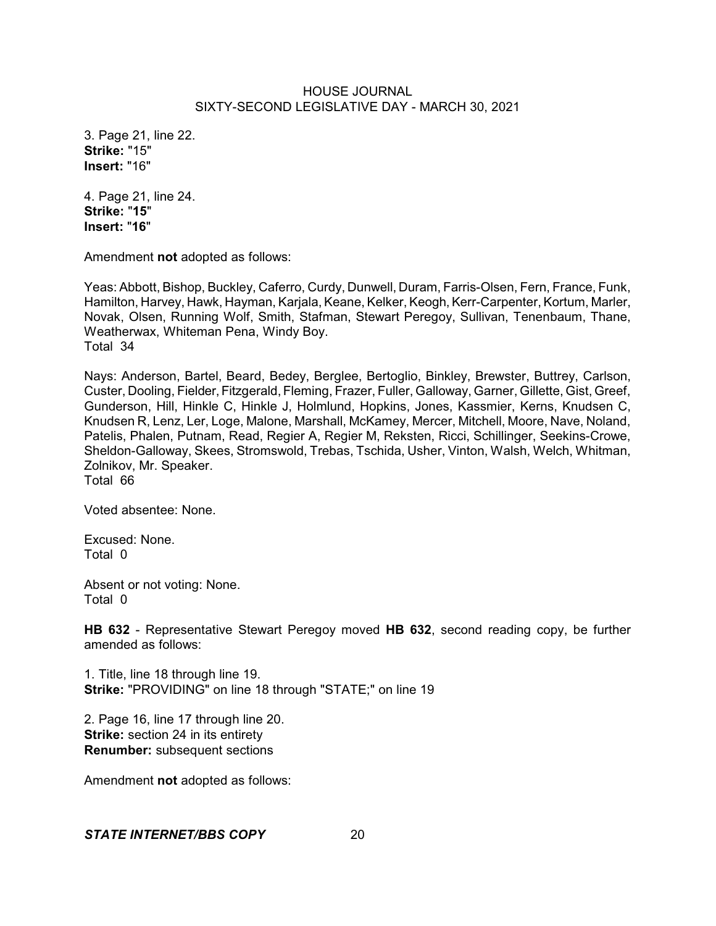3. Page 21, line 22. **Strike:** "15" **Insert:** "16"

4. Page 21, line 24. **Strike:** "**15**" **Insert:** "**16**"

Amendment **not** adopted as follows:

Yeas: Abbott, Bishop, Buckley, Caferro, Curdy, Dunwell, Duram, Farris-Olsen, Fern, France, Funk, Hamilton, Harvey, Hawk, Hayman, Karjala, Keane, Kelker, Keogh,Kerr-Carpenter, Kortum, Marler, Novak, Olsen, Running Wolf, Smith, Stafman, Stewart Peregoy, Sullivan, Tenenbaum, Thane, Weatherwax, Whiteman Pena, Windy Boy. Total 34

Nays: Anderson, Bartel, Beard, Bedey, Berglee, Bertoglio, Binkley, Brewster, Buttrey, Carlson, Custer, Dooling, Fielder, Fitzgerald, Fleming, Frazer, Fuller, Galloway, Garner, Gillette, Gist, Greef, Gunderson, Hill, Hinkle C, Hinkle J, Holmlund, Hopkins, Jones, Kassmier, Kerns, Knudsen C, Knudsen R, Lenz, Ler, Loge, Malone, Marshall, McKamey, Mercer, Mitchell, Moore, Nave, Noland, Patelis, Phalen, Putnam, Read, Regier A, Regier M, Reksten, Ricci, Schillinger, Seekins-Crowe, Sheldon-Galloway, Skees, Stromswold, Trebas, Tschida, Usher, Vinton, Walsh, Welch, Whitman, Zolnikov, Mr. Speaker. Total 66

Voted absentee: None.

Excused: None. Total 0

Absent or not voting: None. Total 0

**HB 632** - Representative Stewart Peregoy moved **HB 632**, second reading copy, be further amended as follows:

1. Title, line 18 through line 19. **Strike:** "PROVIDING" on line 18 through "STATE;" on line 19

2. Page 16, line 17 through line 20. **Strike:** section 24 in its entirety **Renumber:** subsequent sections

Amendment **not** adopted as follows: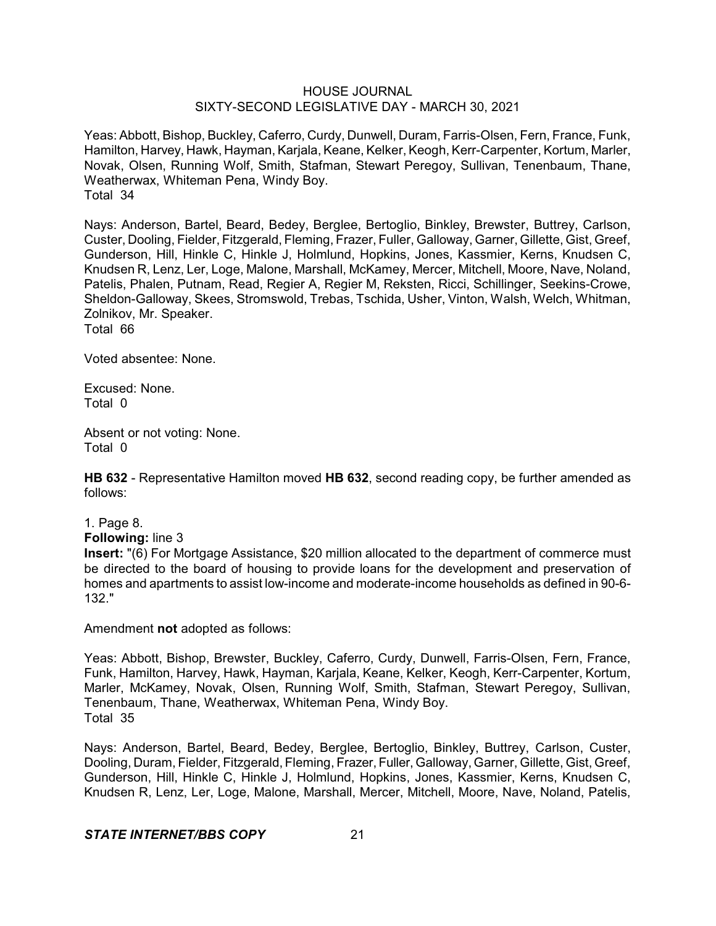Yeas: Abbott, Bishop, Buckley, Caferro, Curdy, Dunwell, Duram, Farris-Olsen, Fern, France, Funk, Hamilton, Harvey, Hawk, Hayman, Karjala, Keane, Kelker, Keogh, Kerr-Carpenter, Kortum, Marler, Novak, Olsen, Running Wolf, Smith, Stafman, Stewart Peregoy, Sullivan, Tenenbaum, Thane, Weatherwax, Whiteman Pena, Windy Boy. Total 34

Nays: Anderson, Bartel, Beard, Bedey, Berglee, Bertoglio, Binkley, Brewster, Buttrey, Carlson, Custer, Dooling, Fielder, Fitzgerald, Fleming, Frazer, Fuller, Galloway, Garner, Gillette, Gist, Greef, Gunderson, Hill, Hinkle C, Hinkle J, Holmlund, Hopkins, Jones, Kassmier, Kerns, Knudsen C, Knudsen R, Lenz, Ler, Loge, Malone, Marshall, McKamey, Mercer, Mitchell, Moore, Nave, Noland, Patelis, Phalen, Putnam, Read, Regier A, Regier M, Reksten, Ricci, Schillinger, Seekins-Crowe, Sheldon-Galloway, Skees, Stromswold, Trebas, Tschida, Usher, Vinton, Walsh, Welch, Whitman, Zolnikov, Mr. Speaker.

Total 66

Voted absentee: None.

Excused: None. Total 0

Absent or not voting: None. Total 0

**HB 632** - Representative Hamilton moved **HB 632**, second reading copy, be further amended as follows:

1. Page 8.

**Following:** line 3

**Insert:** "(6) For Mortgage Assistance, \$20 million allocated to the department of commerce must be directed to the board of housing to provide loans for the development and preservation of homes and apartments to assist low-income and moderate-income households as defined in 90-6- 132."

Amendment **not** adopted as follows:

Yeas: Abbott, Bishop, Brewster, Buckley, Caferro, Curdy, Dunwell, Farris-Olsen, Fern, France, Funk, Hamilton, Harvey, Hawk, Hayman, Karjala, Keane, Kelker, Keogh, Kerr-Carpenter, Kortum, Marler, McKamey, Novak, Olsen, Running Wolf, Smith, Stafman, Stewart Peregoy, Sullivan, Tenenbaum, Thane, Weatherwax, Whiteman Pena, Windy Boy. Total 35

Nays: Anderson, Bartel, Beard, Bedey, Berglee, Bertoglio, Binkley, Buttrey, Carlson, Custer, Dooling, Duram, Fielder, Fitzgerald, Fleming, Frazer, Fuller, Galloway, Garner, Gillette, Gist, Greef, Gunderson, Hill, Hinkle C, Hinkle J, Holmlund, Hopkins, Jones, Kassmier, Kerns, Knudsen C, Knudsen R, Lenz, Ler, Loge, Malone, Marshall, Mercer, Mitchell, Moore, Nave, Noland, Patelis,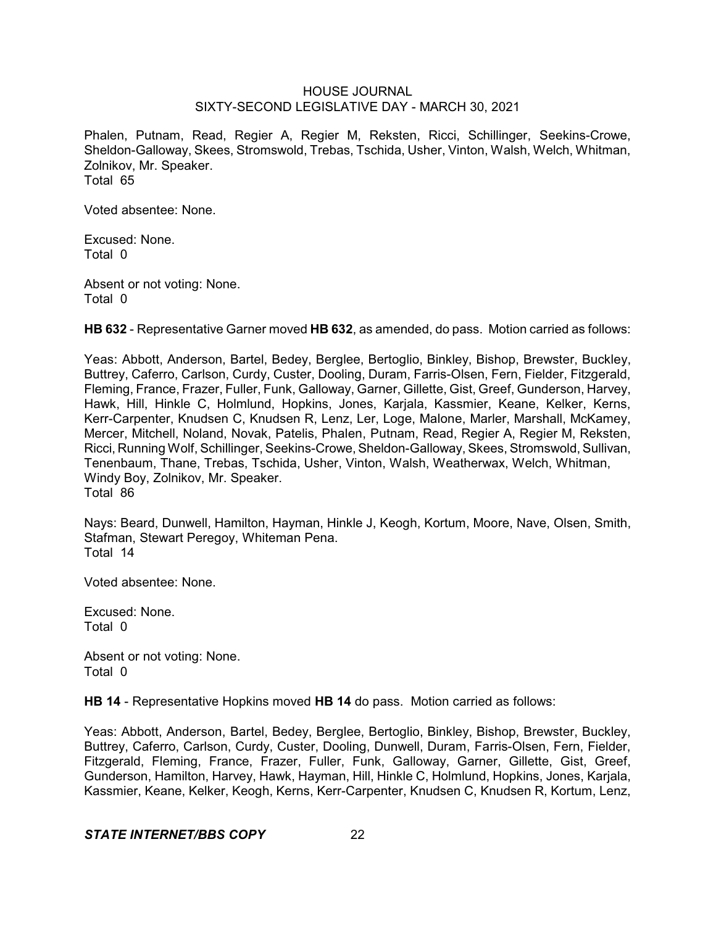Phalen, Putnam, Read, Regier A, Regier M, Reksten, Ricci, Schillinger, Seekins-Crowe, Sheldon-Galloway, Skees, Stromswold, Trebas, Tschida, Usher, Vinton, Walsh, Welch, Whitman, Zolnikov, Mr. Speaker. Total 65

Voted absentee: None.

Excused: None. Total 0

Absent or not voting: None. Total 0

**HB 632** - Representative Garner moved **HB 632**, as amended, do pass. Motion carried as follows:

Yeas: Abbott, Anderson, Bartel, Bedey, Berglee, Bertoglio, Binkley, Bishop, Brewster, Buckley, Buttrey, Caferro, Carlson, Curdy, Custer, Dooling, Duram, Farris-Olsen, Fern, Fielder, Fitzgerald, Fleming, France, Frazer, Fuller, Funk, Galloway, Garner, Gillette, Gist, Greef, Gunderson, Harvey, Hawk, Hill, Hinkle C, Holmlund, Hopkins, Jones, Karjala, Kassmier, Keane, Kelker, Kerns, Kerr-Carpenter, Knudsen C, Knudsen R, Lenz, Ler, Loge, Malone, Marler, Marshall, McKamey, Mercer, Mitchell, Noland, Novak, Patelis, Phalen, Putnam, Read, Regier A, Regier M, Reksten, Ricci, Running Wolf, Schillinger, Seekins-Crowe,Sheldon-Galloway, Skees, Stromswold, Sullivan, Tenenbaum, Thane, Trebas, Tschida, Usher, Vinton, Walsh, Weatherwax, Welch, Whitman, Windy Boy, Zolnikov, Mr. Speaker. Total 86

Nays: Beard, Dunwell, Hamilton, Hayman, Hinkle J, Keogh, Kortum, Moore, Nave, Olsen, Smith, Stafman, Stewart Peregoy, Whiteman Pena. Total 14

Voted absentee: None.

Excused: None. Total 0

Absent or not voting: None. Total 0

**HB 14** - Representative Hopkins moved **HB 14** do pass. Motion carried as follows:

Yeas: Abbott, Anderson, Bartel, Bedey, Berglee, Bertoglio, Binkley, Bishop, Brewster, Buckley, Buttrey, Caferro, Carlson, Curdy, Custer, Dooling, Dunwell, Duram, Farris-Olsen, Fern, Fielder, Fitzgerald, Fleming, France, Frazer, Fuller, Funk, Galloway, Garner, Gillette, Gist, Greef, Gunderson, Hamilton, Harvey, Hawk, Hayman, Hill, Hinkle C, Holmlund, Hopkins, Jones, Karjala, Kassmier, Keane, Kelker, Keogh, Kerns, Kerr-Carpenter, Knudsen C, Knudsen R, Kortum, Lenz,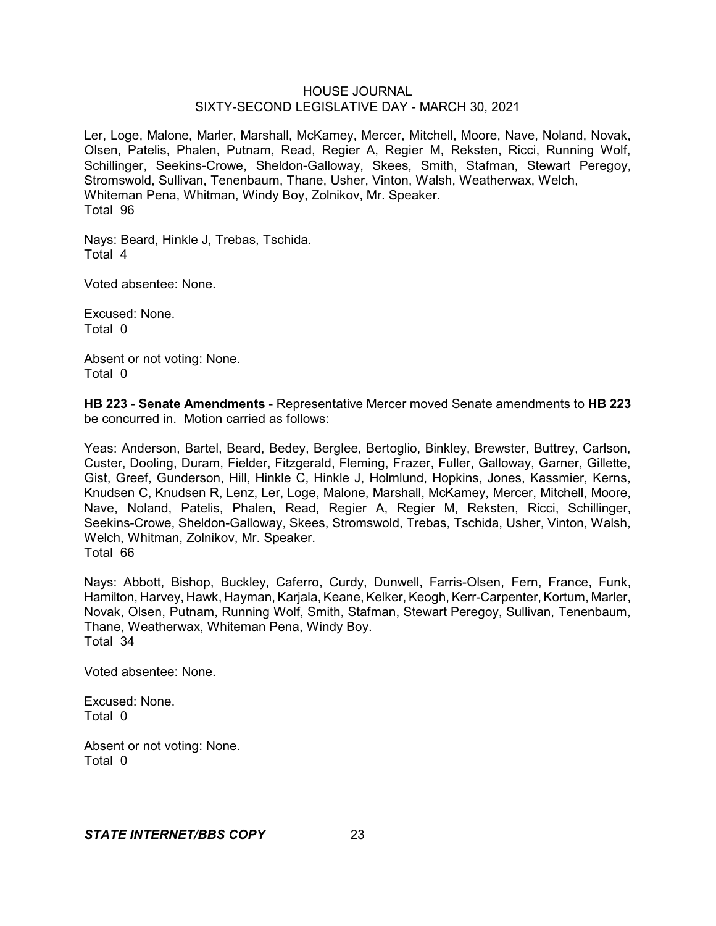Ler, Loge, Malone, Marler, Marshall, McKamey, Mercer, Mitchell, Moore, Nave, Noland, Novak, Olsen, Patelis, Phalen, Putnam, Read, Regier A, Regier M, Reksten, Ricci, Running Wolf, Schillinger, Seekins-Crowe, Sheldon-Galloway, Skees, Smith, Stafman, Stewart Peregoy, Stromswold, Sullivan, Tenenbaum, Thane, Usher, Vinton, Walsh, Weatherwax, Welch, Whiteman Pena, Whitman, Windy Boy, Zolnikov, Mr. Speaker. Total 96

Nays: Beard, Hinkle J, Trebas, Tschida. Total 4

Voted absentee: None.

Excused: None. Total 0

Absent or not voting: None. Total 0

**HB 223** - **Senate Amendments** - Representative Mercer moved Senate amendments to **HB 223** be concurred in. Motion carried as follows:

Yeas: Anderson, Bartel, Beard, Bedey, Berglee, Bertoglio, Binkley, Brewster, Buttrey, Carlson, Custer, Dooling, Duram, Fielder, Fitzgerald, Fleming, Frazer, Fuller, Galloway, Garner, Gillette, Gist, Greef, Gunderson, Hill, Hinkle C, Hinkle J, Holmlund, Hopkins, Jones, Kassmier, Kerns, Knudsen C, Knudsen R, Lenz, Ler, Loge, Malone, Marshall, McKamey, Mercer, Mitchell, Moore, Nave, Noland, Patelis, Phalen, Read, Regier A, Regier M, Reksten, Ricci, Schillinger, Seekins-Crowe, Sheldon-Galloway, Skees, Stromswold, Trebas, Tschida, Usher, Vinton, Walsh, Welch, Whitman, Zolnikov, Mr. Speaker. Total 66

Nays: Abbott, Bishop, Buckley, Caferro, Curdy, Dunwell, Farris-Olsen, Fern, France, Funk, Hamilton, Harvey, Hawk, Hayman, Karjala, Keane, Kelker, Keogh, Kerr-Carpenter, Kortum, Marler, Novak, Olsen, Putnam, Running Wolf, Smith, Stafman, Stewart Peregoy, Sullivan, Tenenbaum, Thane, Weatherwax, Whiteman Pena, Windy Boy. Total 34

Voted absentee: None.

Excused: None. Total 0

Absent or not voting: None. Total 0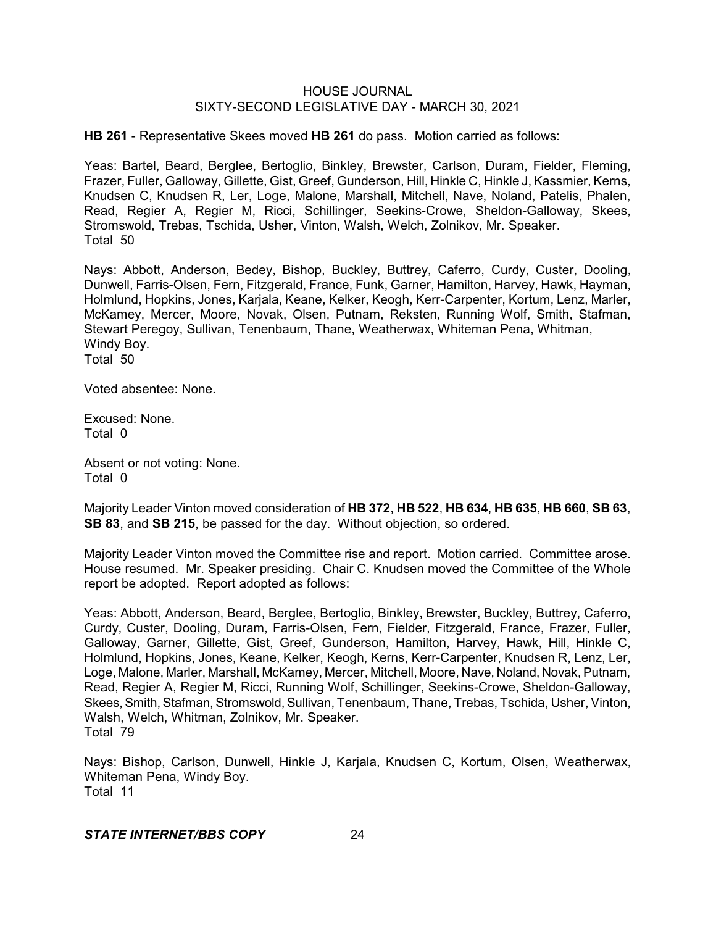**HB 261** - Representative Skees moved **HB 261** do pass. Motion carried as follows:

Yeas: Bartel, Beard, Berglee, Bertoglio, Binkley, Brewster, Carlson, Duram, Fielder, Fleming, Frazer, Fuller, Galloway, Gillette, Gist, Greef, Gunderson, Hill, Hinkle C, Hinkle J, Kassmier, Kerns, Knudsen C, Knudsen R, Ler, Loge, Malone, Marshall, Mitchell, Nave, Noland, Patelis, Phalen, Read, Regier A, Regier M, Ricci, Schillinger, Seekins-Crowe, Sheldon-Galloway, Skees, Stromswold, Trebas, Tschida, Usher, Vinton, Walsh, Welch, Zolnikov, Mr. Speaker. Total 50

Nays: Abbott, Anderson, Bedey, Bishop, Buckley, Buttrey, Caferro, Curdy, Custer, Dooling, Dunwell, Farris-Olsen, Fern, Fitzgerald, France, Funk, Garner, Hamilton, Harvey, Hawk, Hayman, Holmlund, Hopkins, Jones, Karjala, Keane, Kelker, Keogh, Kerr-Carpenter, Kortum, Lenz, Marler, McKamey, Mercer, Moore, Novak, Olsen, Putnam, Reksten, Running Wolf, Smith, Stafman, Stewart Peregoy, Sullivan, Tenenbaum, Thane, Weatherwax, Whiteman Pena, Whitman, Windy Boy. Total 50

Voted absentee: None.

Excused: None. Total 0

Absent or not voting: None. Total 0

Majority Leader Vinton moved consideration of **HB 372**, **HB 522**, **HB 634**, **HB 635**, **HB 660**, **SB 63**, **SB 83**, and **SB 215**, be passed for the day. Without objection, so ordered.

Majority Leader Vinton moved the Committee rise and report. Motion carried. Committee arose. House resumed. Mr. Speaker presiding. Chair C. Knudsen moved the Committee of the Whole report be adopted. Report adopted as follows:

Yeas: Abbott, Anderson, Beard, Berglee, Bertoglio, Binkley, Brewster, Buckley, Buttrey, Caferro, Curdy, Custer, Dooling, Duram, Farris-Olsen, Fern, Fielder, Fitzgerald, France, Frazer, Fuller, Galloway, Garner, Gillette, Gist, Greef, Gunderson, Hamilton, Harvey, Hawk, Hill, Hinkle C, Holmlund, Hopkins, Jones, Keane, Kelker, Keogh, Kerns, Kerr-Carpenter, Knudsen R, Lenz, Ler, Loge, Malone, Marler, Marshall, McKamey, Mercer, Mitchell, Moore, Nave, Noland, Novak, Putnam, Read, Regier A, Regier M, Ricci, Running Wolf, Schillinger, Seekins-Crowe, Sheldon-Galloway, Skees, Smith, Stafman, Stromswold, Sullivan, Tenenbaum, Thane, Trebas, Tschida, Usher, Vinton, Walsh, Welch, Whitman, Zolnikov, Mr. Speaker. Total 79

Nays: Bishop, Carlson, Dunwell, Hinkle J, Karjala, Knudsen C, Kortum, Olsen, Weatherwax, Whiteman Pena, Windy Boy. Total 11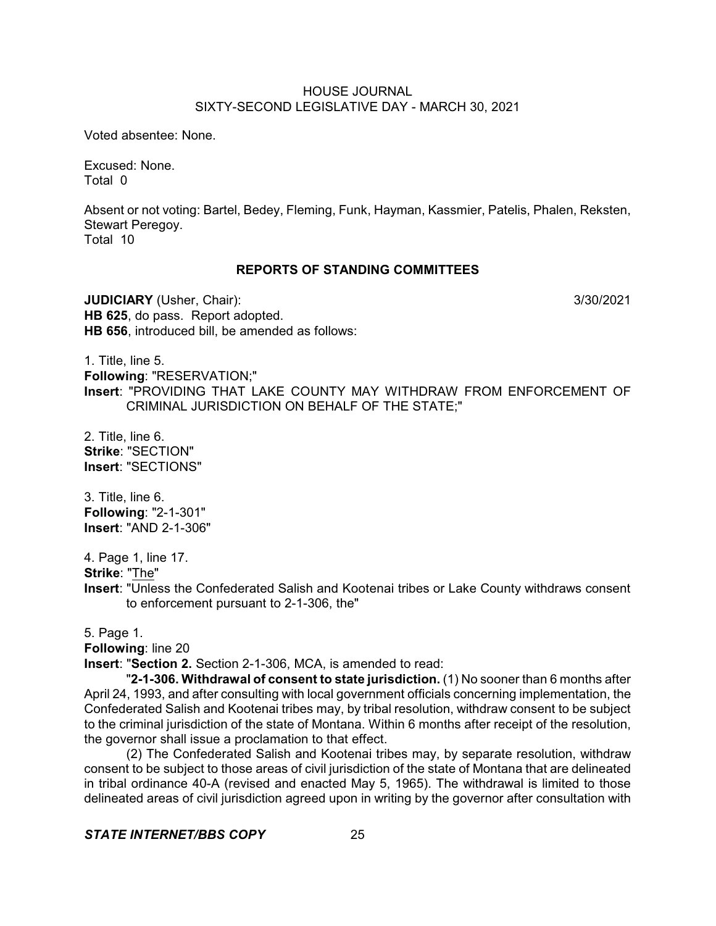Voted absentee: None.

Excused: None. Total 0

Absent or not voting: Bartel, Bedey, Fleming, Funk, Hayman, Kassmier, Patelis, Phalen, Reksten, Stewart Peregoy. Total 10

### **REPORTS OF STANDING COMMITTEES**

**JUDICIARY** (Usher, Chair): 3/30/2021 **HB 625**, do pass. Report adopted. **HB 656**, introduced bill, be amended as follows:

1. Title, line 5. **Following**: "RESERVATION;" **Insert**: "PROVIDING THAT LAKE COUNTY MAY WITHDRAW FROM ENFORCEMENT OF CRIMINAL JURISDICTION ON BEHALF OF THE STATE;"

2. Title, line 6. **Strike**: "SECTION" **Insert**: "SECTIONS"

3. Title, line 6. **Following**: "2-1-301" **Insert**: "AND 2-1-306"

4. Page 1, line 17.

**Strike**: "The"

**Insert**: "Unless the Confederated Salish and Kootenai tribes or Lake County withdraws consent to enforcement pursuant to 2-1-306, the"

5. Page 1.

**Following**: line 20

**Insert**: "**Section 2.** Section 2-1-306, MCA, is amended to read:

"**2-1-306. Withdrawal of consent to state jurisdiction.** (1) No sooner than 6 months after April 24, 1993, and after consulting with local government officials concerning implementation, the Confederated Salish and Kootenai tribes may, by tribal resolution, withdraw consent to be subject to the criminal jurisdiction of the state of Montana. Within 6 months after receipt of the resolution, the governor shall issue a proclamation to that effect.

(2) The Confederated Salish and Kootenai tribes may, by separate resolution, withdraw consent to be subject to those areas of civil jurisdiction of the state of Montana that are delineated in tribal ordinance 40-A (revised and enacted May 5, 1965). The withdrawal is limited to those delineated areas of civil jurisdiction agreed upon in writing by the governor after consultation with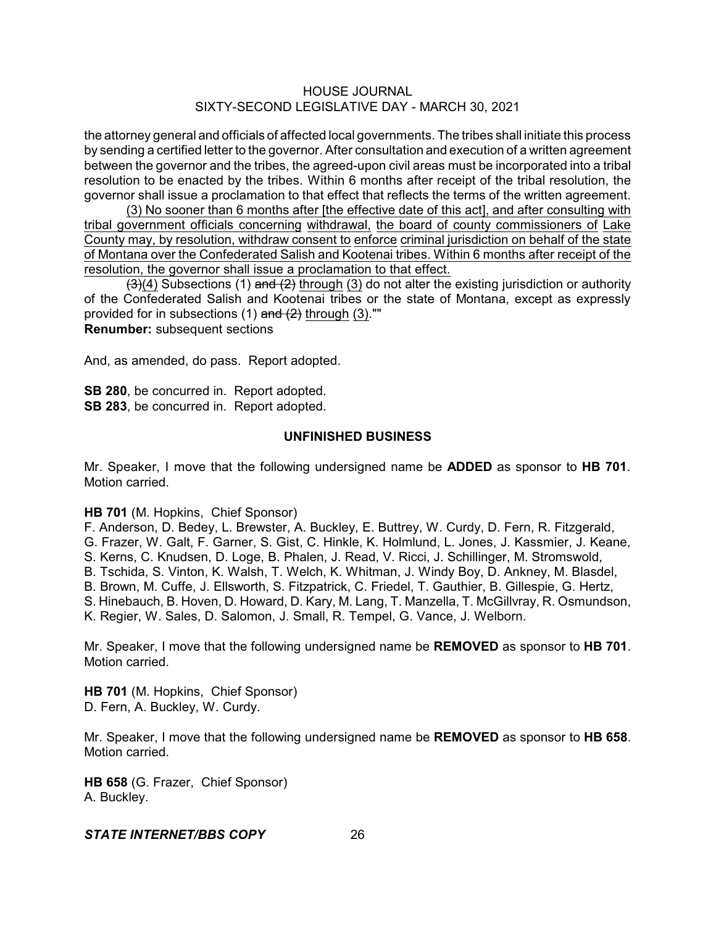the attorney general and officials of affected local governments. The tribes shall initiate this process by sending a certified letter to the governor. After consultation and execution of a written agreement between the governor and the tribes, the agreed-upon civil areas must be incorporated into a tribal resolution to be enacted by the tribes. Within 6 months after receipt of the tribal resolution, the governor shall issue a proclamation to that effect that reflects the terms of the written agreement.

(3) No sooner than 6 months after [the effective date of this act], and after consulting with tribal government officials concerning withdrawal, the board of county commissioners of Lake County may, by resolution, withdraw consent to enforce criminal jurisdiction on behalf of the state of Montana over the Confederated Salish and Kootenai tribes. Within 6 months after receipt of the resolution, the governor shall issue a proclamation to that effect.

 $\left(\frac{3}{4}\right)$  Subsections (1) and (2) through (3) do not alter the existing jurisdiction or authority of the Confederated Salish and Kootenai tribes or the state of Montana, except as expressly provided for in subsections  $(1)$  and  $(2)$  through  $(3)$ ."" **Renumber:** subsequent sections

And, as amended, do pass. Report adopted.

**SB 280**, be concurred in. Report adopted. **SB 283**, be concurred in. Report adopted.

#### **UNFINISHED BUSINESS**

Mr. Speaker, I move that the following undersigned name be **ADDED** as sponsor to **HB 701**. Motion carried.

#### **HB 701** (M. Hopkins, Chief Sponsor)

F. Anderson, D. Bedey, L. Brewster, A. Buckley, E. Buttrey, W. Curdy, D. Fern, R. Fitzgerald, G. Frazer, W. Galt, F. Garner, S. Gist, C. Hinkle, K. Holmlund, L. Jones, J. Kassmier, J. Keane, S. Kerns, C. Knudsen, D. Loge, B. Phalen, J. Read, V. Ricci, J. Schillinger, M. Stromswold, B. Tschida, S. Vinton, K. Walsh, T. Welch, K. Whitman, J. Windy Boy, D. Ankney, M. Blasdel, B. Brown, M. Cuffe, J. Ellsworth, S. Fitzpatrick, C. Friedel, T. Gauthier, B. Gillespie, G. Hertz, S. Hinebauch, B. Hoven, D. Howard, D. Kary, M. Lang, T. Manzella, T. McGillvray, R. Osmundson, K. Regier, W. Sales, D. Salomon, J. Small, R. Tempel, G. Vance, J. Welborn.

Mr. Speaker, I move that the following undersigned name be **REMOVED** as sponsor to **HB 701**. Motion carried.

**HB 701** (M. Hopkins, Chief Sponsor) D. Fern, A. Buckley, W. Curdy.

Mr. Speaker, I move that the following undersigned name be **REMOVED** as sponsor to **HB 658**. Motion carried.

**HB 658** (G. Frazer, Chief Sponsor) A. Buckley.